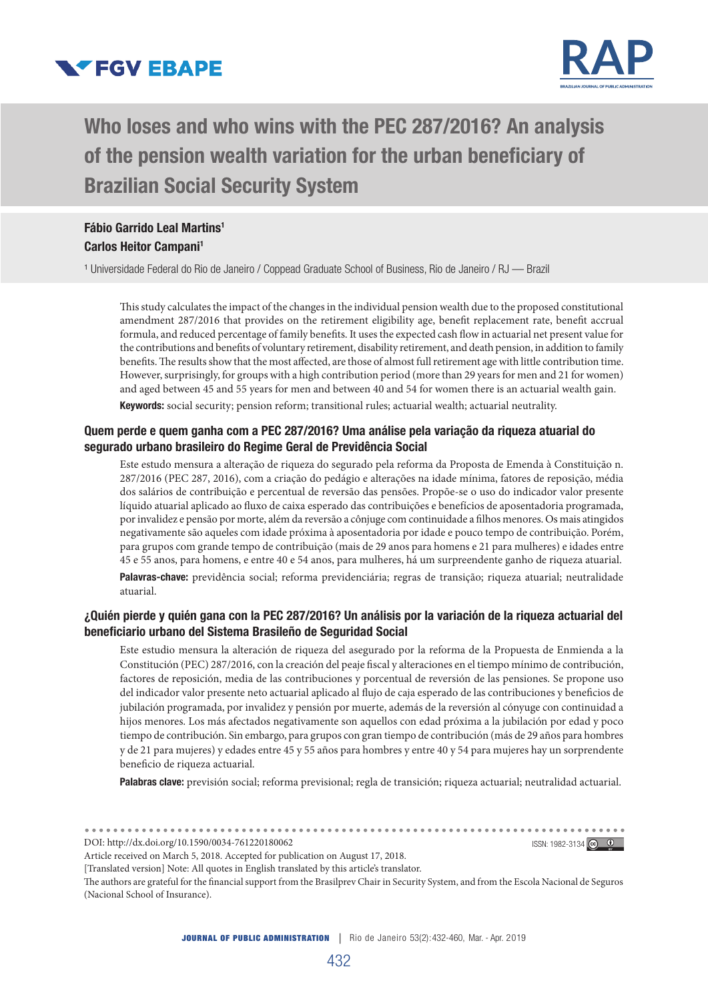



# Who loses and who wins with the PEC 287/2016? An analysis of the pension wealth variation for the urban beneficiary of Brazilian Social Security System

Fábio Garrido Leal Martins1 Carlos Heitor Campani1

<sup>1</sup> Universidade Federal do Rio de Janeiro / Coppead Graduate School of Business, Rio de Janeiro / RJ — Brazil

This study calculates the impact of the changes in the individual pension wealth due to the proposed constitutional amendment 287/2016 that provides on the retirement eligibility age, benefit replacement rate, benefit accrual formula, and reduced percentage of family benefits. It uses the expected cash flow in actuarial net present value for the contributions and benefits of voluntary retirement, disability retirement, and death pension, in addition to family benefits. The results show that the most affected, are those of almost full retirement age with little contribution time. However, surprisingly, for groups with a high contribution period (more than 29 years for men and 21 for women) and aged between 45 and 55 years for men and between 40 and 54 for women there is an actuarial wealth gain.

Keywords: social security; pension reform; transitional rules; actuarial wealth; actuarial neutrality.

#### Quem perde e quem ganha com a PEC 287/2016? Uma análise pela variação da riqueza atuarial do segurado urbano brasileiro do Regime Geral de Previdência Social

Este estudo mensura a alteração de riqueza do segurado pela reforma da Proposta de Emenda à Constituição n. 287/2016 (PEC 287, 2016), com a criação do pedágio e alterações na idade mínima, fatores de reposição, média dos salários de contribuição e percentual de reversão das pensões. Propõe-se o uso do indicador valor presente líquido atuarial aplicado ao fluxo de caixa esperado das contribuições e benefícios de aposentadoria programada, por invalidez e pensão por morte, além da reversão a cônjuge com continuidade a filhos menores. Os mais atingidos negativamente são aqueles com idade próxima à aposentadoria por idade e pouco tempo de contribuição. Porém, para grupos com grande tempo de contribuição (mais de 29 anos para homens e 21 para mulheres) e idades entre 45 e 55 anos, para homens, e entre 40 e 54 anos, para mulheres, há um surpreendente ganho de riqueza atuarial.

Palavras-chave: previdência social; reforma previdenciária; regras de transição; riqueza atuarial; neutralidade atuarial.

#### ¿Quién pierde y quién gana con la PEC 287/2016? Un análisis por la variación de la riqueza actuarial del beneficiario urbano del Sistema Brasileño de Seguridad Social

Este estudio mensura la alteración de riqueza del asegurado por la reforma de la Propuesta de Enmienda a la Constitución (PEC) 287/2016, con la creación del peaje fiscal y alteraciones en el tiempo mínimo de contribución, factores de reposición, media de las contribuciones y porcentual de reversión de las pensiones. Se propone uso del indicador valor presente neto actuarial aplicado al flujo de caja esperado de las contribuciones y beneficios de jubilación programada, por invalidez y pensión por muerte, además de la reversión al cónyuge con continuidad a hijos menores. Los más afectados negativamente son aquellos con edad próxima a la jubilación por edad y poco tiempo de contribución. Sin embargo, para grupos con gran tiempo de contribución (más de 29 años para hombres y de 21 para mujeres) y edades entre 45 y 55 años para hombres y entre 40 y 54 para mujeres hay un sorprendente beneficio de riqueza actuarial.

Palabras clave: previsión social; reforma previsional; regla de transición; riqueza actuarial; neutralidad actuarial.

DOI: http://dx.doi.org/10.1590/0034-761220180062 ISSN: 1982-3134 Co 0

Article received on March 5, 2018. Accepted for publication on August 17, 2018.

[Translated version] Note: All quotes in English translated by this article's translator.

The authors are grateful for the financial support from the Brasilprev Chair in Security System, and from the Escola Nacional de Seguros (Nacional School of Insurance).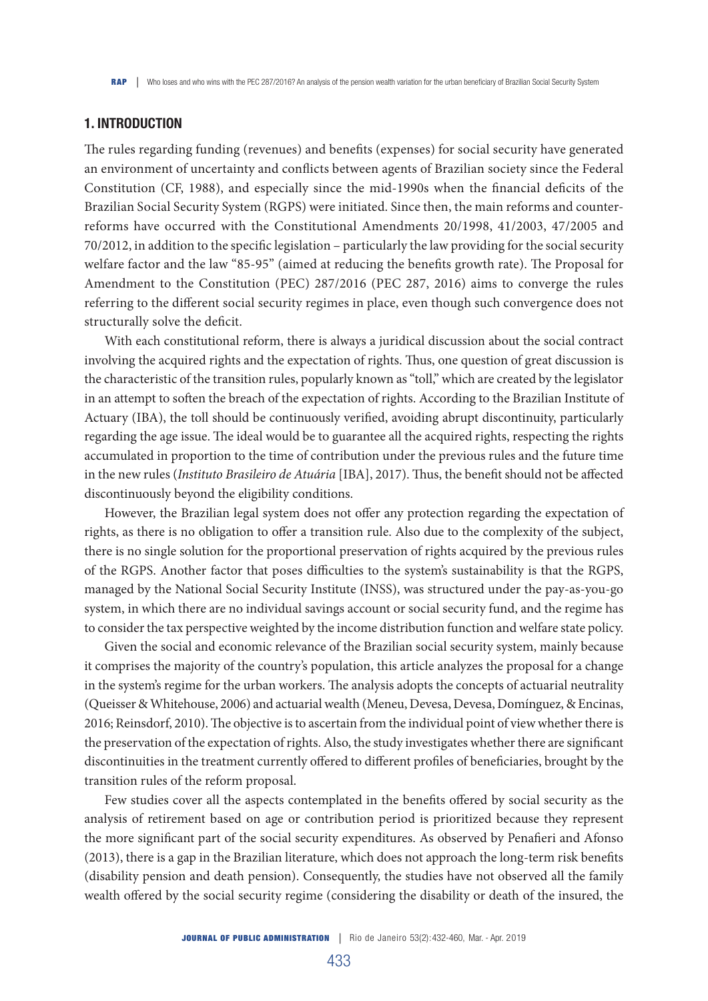## 1. INTRODUCTION

The rules regarding funding (revenues) and benefits (expenses) for social security have generated an environment of uncertainty and conflicts between agents of Brazilian society since the Federal Constitution (CF, 1988), and especially since the mid-1990s when the financial deficits of the Brazilian Social Security System (RGPS) were initiated. Since then, the main reforms and counterreforms have occurred with the Constitutional Amendments 20/1998, 41/2003, 47/2005 and 70/2012, in addition to the specific legislation – particularly the law providing for the social security welfare factor and the law "85-95" (aimed at reducing the benefits growth rate). The Proposal for Amendment to the Constitution (PEC) 287/2016 (PEC 287, 2016) aims to converge the rules referring to the different social security regimes in place, even though such convergence does not structurally solve the deficit.

With each constitutional reform, there is always a juridical discussion about the social contract involving the acquired rights and the expectation of rights. Thus, one question of great discussion is the characteristic of the transition rules, popularly known as "toll," which are created by the legislator in an attempt to soften the breach of the expectation of rights. According to the Brazilian Institute of Actuary (IBA), the toll should be continuously verified, avoiding abrupt discontinuity, particularly regarding the age issue. The ideal would be to guarantee all the acquired rights, respecting the rights accumulated in proportion to the time of contribution under the previous rules and the future time in the new rules (*Instituto Brasileiro de Atuária* [IBA], 2017). Thus, the benefit should not be affected discontinuously beyond the eligibility conditions.

However, the Brazilian legal system does not offer any protection regarding the expectation of rights, as there is no obligation to offer a transition rule. Also due to the complexity of the subject, there is no single solution for the proportional preservation of rights acquired by the previous rules of the RGPS. Another factor that poses difficulties to the system's sustainability is that the RGPS, managed by the National Social Security Institute (INSS), was structured under the pay-as-you-go system, in which there are no individual savings account or social security fund, and the regime has to consider the tax perspective weighted by the income distribution function and welfare state policy.

Given the social and economic relevance of the Brazilian social security system, mainly because it comprises the majority of the country's population, this article analyzes the proposal for a change in the system's regime for the urban workers. The analysis adopts the concepts of actuarial neutrality (Queisser & Whitehouse, 2006) and actuarial wealth (Meneu, Devesa, Devesa, Domínguez, & Encinas, 2016; Reinsdorf, 2010). The objective is to ascertain from the individual point of view whether there is the preservation of the expectation of rights. Also, the study investigates whether there are significant discontinuities in the treatment currently offered to different profiles of beneficiaries, brought by the transition rules of the reform proposal.

Few studies cover all the aspects contemplated in the benefits offered by social security as the analysis of retirement based on age or contribution period is prioritized because they represent the more significant part of the social security expenditures. As observed by Penafieri and Afonso (2013), there is a gap in the Brazilian literature, which does not approach the long-term risk benefits (disability pension and death pension). Consequently, the studies have not observed all the family wealth offered by the social security regime (considering the disability or death of the insured, the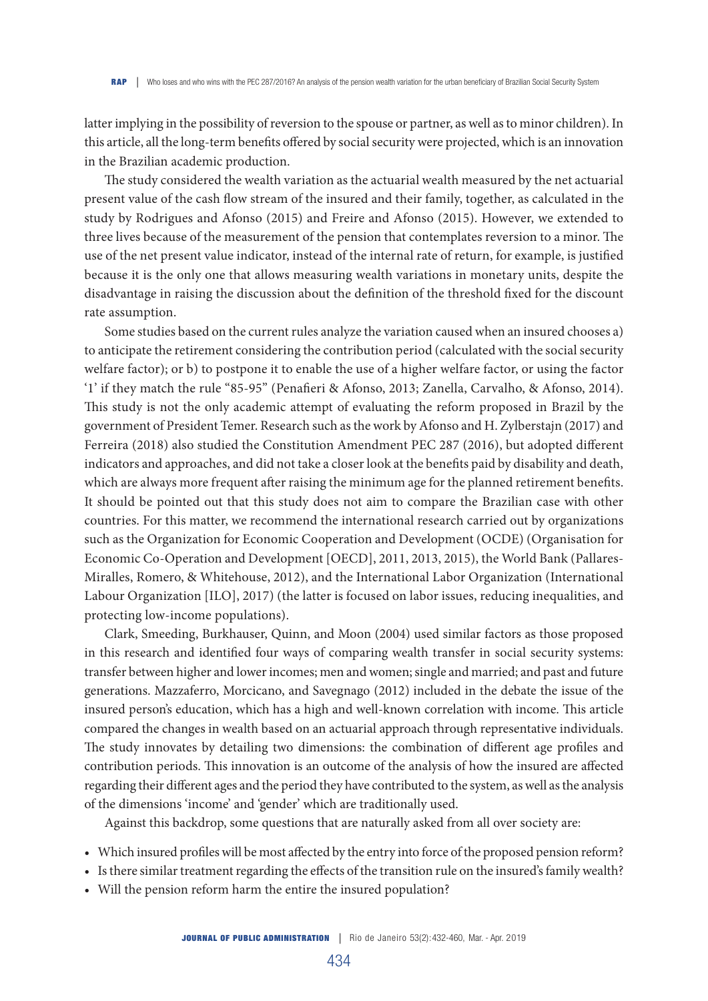latter implying in the possibility of reversion to the spouse or partner, as well as to minor children). In this article, all the long-term benefits offered by social security were projected, which is an innovation in the Brazilian academic production.

The study considered the wealth variation as the actuarial wealth measured by the net actuarial present value of the cash flow stream of the insured and their family, together, as calculated in the study by Rodrigues and Afonso (2015) and Freire and Afonso (2015). However, we extended to three lives because of the measurement of the pension that contemplates reversion to a minor. The use of the net present value indicator, instead of the internal rate of return, for example, is justified because it is the only one that allows measuring wealth variations in monetary units, despite the disadvantage in raising the discussion about the definition of the threshold fixed for the discount rate assumption.

Some studies based on the current rules analyze the variation caused when an insured chooses a) to anticipate the retirement considering the contribution period (calculated with the social security welfare factor); or b) to postpone it to enable the use of a higher welfare factor, or using the factor '1' if they match the rule "85-95" (Penafieri & Afonso, 2013; Zanella, Carvalho, & Afonso, 2014). This study is not the only academic attempt of evaluating the reform proposed in Brazil by the government of President Temer. Research such as the work by Afonso and H. Zylberstajn (2017) and Ferreira (2018) also studied the Constitution Amendment PEC 287 (2016), but adopted different indicators and approaches, and did not take a closer look at the benefits paid by disability and death, which are always more frequent after raising the minimum age for the planned retirement benefits. It should be pointed out that this study does not aim to compare the Brazilian case with other countries. For this matter, we recommend the international research carried out by organizations such as the Organization for Economic Cooperation and Development (OCDE) (Organisation for Economic Co-Operation and Development [OECD], 2011, 2013, 2015), the World Bank (Pallares-Miralles, Romero, & Whitehouse, 2012), and the International Labor Organization (International Labour Organization [ILO], 2017) (the latter is focused on labor issues, reducing inequalities, and protecting low-income populations).

Clark, Smeeding, Burkhauser, Quinn, and Moon (2004) used similar factors as those proposed in this research and identified four ways of comparing wealth transfer in social security systems: transfer between higher and lower incomes; men and women; single and married; and past and future generations. Mazzaferro, Morcicano, and Savegnago (2012) included in the debate the issue of the insured person's education, which has a high and well-known correlation with income. This article compared the changes in wealth based on an actuarial approach through representative individuals. The study innovates by detailing two dimensions: the combination of different age profiles and contribution periods. This innovation is an outcome of the analysis of how the insured are affected regarding their different ages and the period they have contributed to the system, as well as the analysis of the dimensions 'income' and 'gender' which are traditionally used.

Against this backdrop, some questions that are naturally asked from all over society are:

- Which insured profiles will be most affected by the entry into force of the proposed pension reform?
- Is there similar treatment regarding the effects of the transition rule on the insured's family wealth?
- Will the pension reform harm the entire the insured population?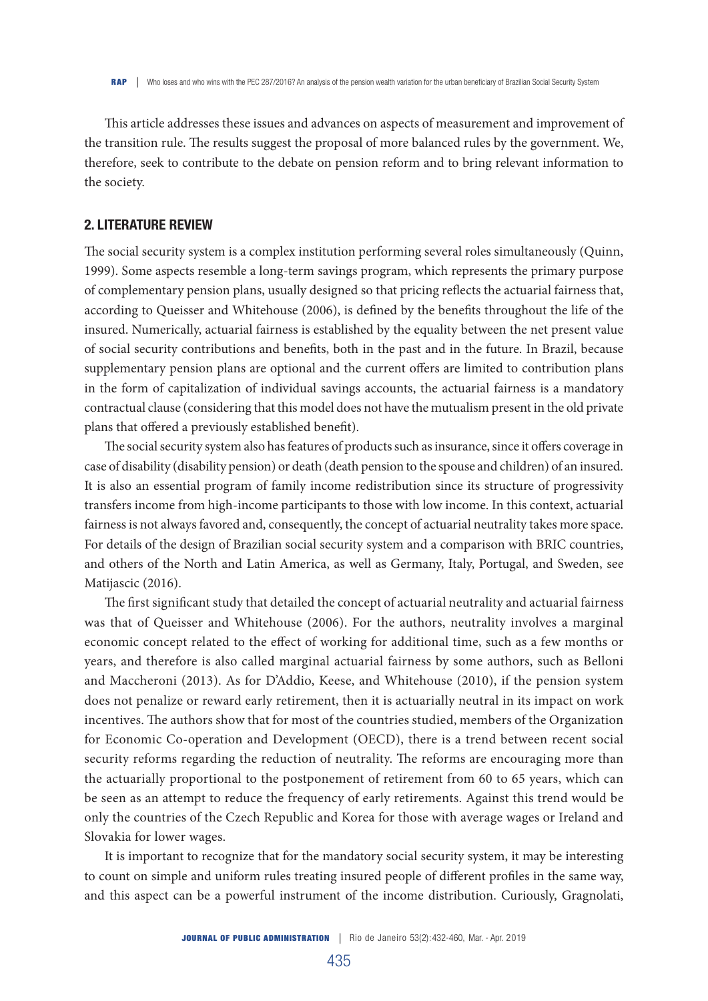This article addresses these issues and advances on aspects of measurement and improvement of the transition rule. The results suggest the proposal of more balanced rules by the government. We, therefore, seek to contribute to the debate on pension reform and to bring relevant information to the society.

#### 2. LITERATURE REVIEW

The social security system is a complex institution performing several roles simultaneously (Quinn, 1999). Some aspects resemble a long-term savings program, which represents the primary purpose of complementary pension plans, usually designed so that pricing reflects the actuarial fairness that, according to Queisser and Whitehouse (2006), is defined by the benefits throughout the life of the insured. Numerically, actuarial fairness is established by the equality between the net present value of social security contributions and benefits, both in the past and in the future. In Brazil, because supplementary pension plans are optional and the current offers are limited to contribution plans in the form of capitalization of individual savings accounts, the actuarial fairness is a mandatory contractual clause (considering that this model does not have the mutualism present in the old private plans that offered a previously established benefit).

The social security system also has features of products such as insurance, since it offers coverage in case of disability (disability pension) or death (death pension to the spouse and children) of an insured. It is also an essential program of family income redistribution since its structure of progressivity transfers income from high-income participants to those with low income. In this context, actuarial fairness is not always favored and, consequently, the concept of actuarial neutrality takes more space. For details of the design of Brazilian social security system and a comparison with BRIC countries, and others of the North and Latin America, as well as Germany, Italy, Portugal, and Sweden, see Matijascic (2016).

The first significant study that detailed the concept of actuarial neutrality and actuarial fairness was that of Queisser and Whitehouse (2006). For the authors, neutrality involves a marginal economic concept related to the effect of working for additional time, such as a few months or years, and therefore is also called marginal actuarial fairness by some authors, such as Belloni and Maccheroni (2013). As for D'Addio, Keese, and Whitehouse (2010), if the pension system does not penalize or reward early retirement, then it is actuarially neutral in its impact on work incentives. The authors show that for most of the countries studied, members of the Organization for Economic Co-operation and Development (OECD), there is a trend between recent social security reforms regarding the reduction of neutrality. The reforms are encouraging more than the actuarially proportional to the postponement of retirement from 60 to 65 years, which can be seen as an attempt to reduce the frequency of early retirements. Against this trend would be only the countries of the Czech Republic and Korea for those with average wages or Ireland and Slovakia for lower wages.

It is important to recognize that for the mandatory social security system, it may be interesting to count on simple and uniform rules treating insured people of different profiles in the same way, and this aspect can be a powerful instrument of the income distribution. Curiously, Gragnolati,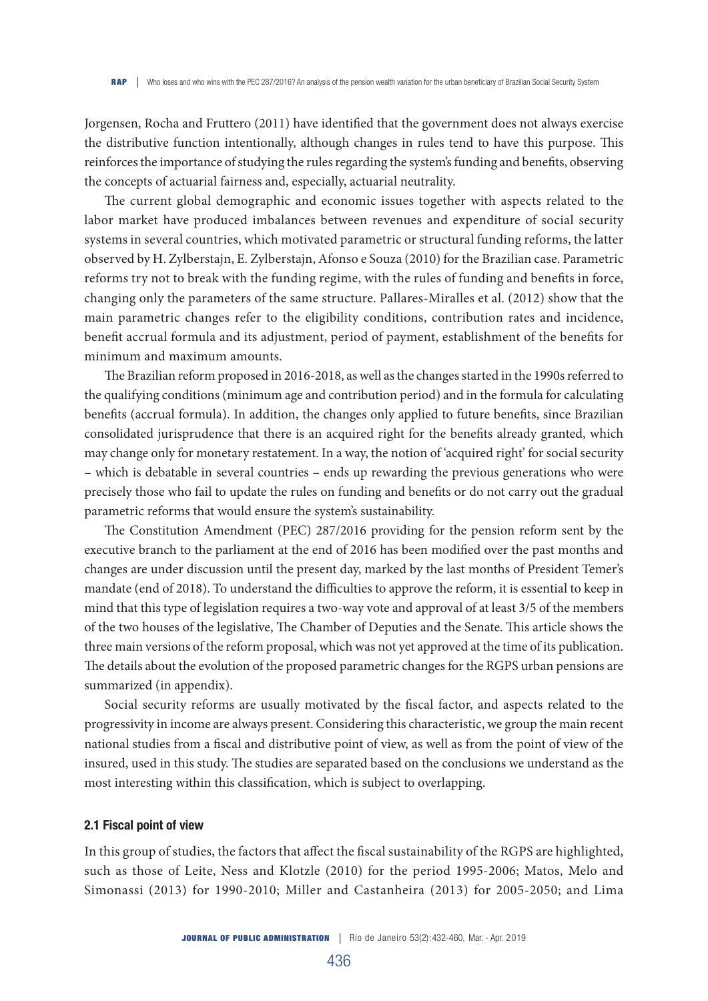Jorgensen, Rocha and Fruttero (2011) have identified that the government does not always exercise the distributive function intentionally, although changes in rules tend to have this purpose. This reinforces the importance of studying the rules regarding the system's funding and benefits, observing the concepts of actuarial fairness and, especially, actuarial neutrality.

The current global demographic and economic issues together with aspects related to the labor market have produced imbalances between revenues and expenditure of social security systems in several countries, which motivated parametric or structural funding reforms, the latter observed by H. Zylberstajn, E. Zylberstajn, Afonso e Souza (2010) for the Brazilian case. Parametric reforms try not to break with the funding regime, with the rules of funding and benefits in force, changing only the parameters of the same structure. Pallares-Miralles et al. (2012) show that the main parametric changes refer to the eligibility conditions, contribution rates and incidence, benefit accrual formula and its adjustment, period of payment, establishment of the benefits for minimum and maximum amounts.

The Brazilian reform proposed in 2016-2018, as well as the changes started in the 1990s referred to the qualifying conditions (minimum age and contribution period) and in the formula for calculating benefits (accrual formula). In addition, the changes only applied to future benefits, since Brazilian consolidated jurisprudence that there is an acquired right for the benefits already granted, which may change only for monetary restatement. In a way, the notion of 'acquired right' for social security – which is debatable in several countries – ends up rewarding the previous generations who were precisely those who fail to update the rules on funding and benefits or do not carry out the gradual parametric reforms that would ensure the system's sustainability.

The Constitution Amendment (PEC) 287/2016 providing for the pension reform sent by the executive branch to the parliament at the end of 2016 has been modified over the past months and changes are under discussion until the present day, marked by the last months of President Temer's mandate (end of 2018). To understand the difficulties to approve the reform, it is essential to keep in mind that this type of legislation requires a two-way vote and approval of at least 3/5 of the members of the two houses of the legislative, The Chamber of Deputies and the Senate. This article shows the three main versions of the reform proposal, which was not yet approved at the time of its publication. The details about the evolution of the proposed parametric changes for the RGPS urban pensions are summarized (in appendix).

Social security reforms are usually motivated by the fiscal factor, and aspects related to the progressivity in income are always present. Considering this characteristic, we group the main recent national studies from a fiscal and distributive point of view, as well as from the point of view of the insured, used in this study. The studies are separated based on the conclusions we understand as the most interesting within this classification, which is subject to overlapping.

#### 2.1 Fiscal point of view

In this group of studies, the factors that affect the fiscal sustainability of the RGPS are highlighted, such as those of Leite, Ness and Klotzle (2010) for the period 1995-2006; Matos, Melo and Simonassi (2013) for 1990-2010; Miller and Castanheira (2013) for 2005-2050; and Lima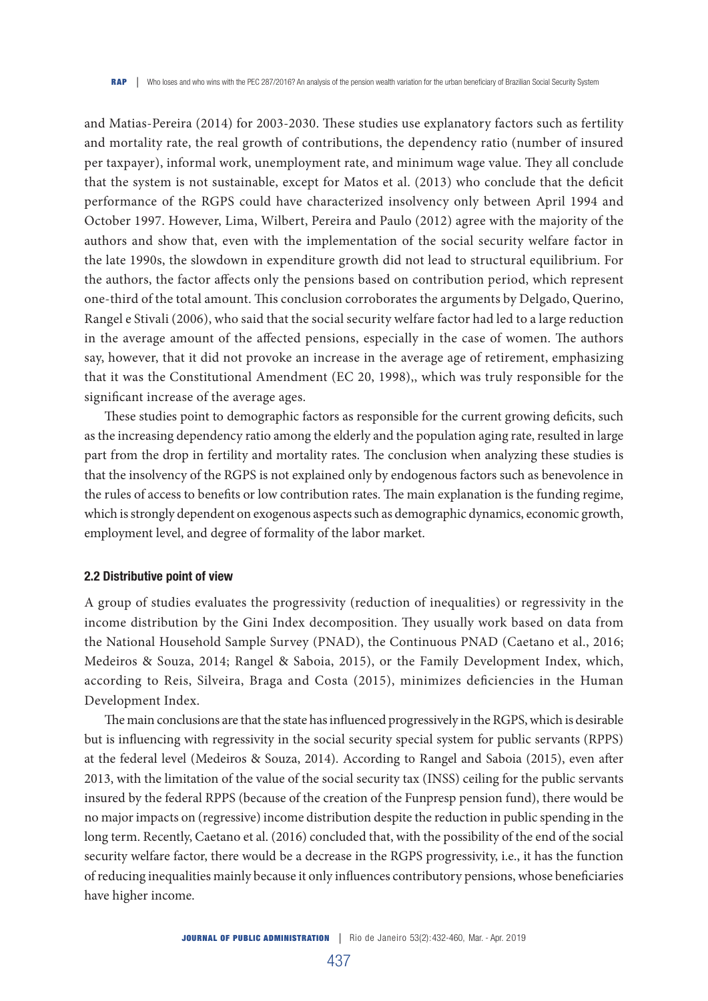and Matias-Pereira (2014) for 2003-2030. These studies use explanatory factors such as fertility and mortality rate, the real growth of contributions, the dependency ratio (number of insured per taxpayer), informal work, unemployment rate, and minimum wage value. They all conclude that the system is not sustainable, except for Matos et al. (2013) who conclude that the deficit performance of the RGPS could have characterized insolvency only between April 1994 and October 1997. However, Lima, Wilbert, Pereira and Paulo (2012) agree with the majority of the authors and show that, even with the implementation of the social security welfare factor in the late 1990s, the slowdown in expenditure growth did not lead to structural equilibrium. For the authors, the factor affects only the pensions based on contribution period, which represent one-third of the total amount. This conclusion corroborates the arguments by Delgado, Querino, Rangel e Stivali (2006), who said that the social security welfare factor had led to a large reduction in the average amount of the affected pensions, especially in the case of women. The authors say, however, that it did not provoke an increase in the average age of retirement, emphasizing that it was the Constitutional Amendment (EC 20, 1998),, which was truly responsible for the significant increase of the average ages.

These studies point to demographic factors as responsible for the current growing deficits, such as the increasing dependency ratio among the elderly and the population aging rate, resulted in large part from the drop in fertility and mortality rates. The conclusion when analyzing these studies is that the insolvency of the RGPS is not explained only by endogenous factors such as benevolence in the rules of access to benefits or low contribution rates. The main explanation is the funding regime, which is strongly dependent on exogenous aspects such as demographic dynamics, economic growth, employment level, and degree of formality of the labor market.

#### 2.2 Distributive point of view

A group of studies evaluates the progressivity (reduction of inequalities) or regressivity in the income distribution by the Gini Index decomposition. They usually work based on data from the National Household Sample Survey (PNAD), the Continuous PNAD (Caetano et al., 2016; Medeiros & Souza, 2014; Rangel & Saboia, 2015), or the Family Development Index, which, according to Reis, Silveira, Braga and Costa (2015), minimizes deficiencies in the Human Development Index.

The main conclusions are that the state has influenced progressively in the RGPS, which is desirable but is influencing with regressivity in the social security special system for public servants (RPPS) at the federal level (Medeiros & Souza, 2014). According to Rangel and Saboia (2015), even after 2013, with the limitation of the value of the social security tax (INSS) ceiling for the public servants insured by the federal RPPS (because of the creation of the Funpresp pension fund), there would be no major impacts on (regressive) income distribution despite the reduction in public spending in the long term. Recently, Caetano et al. (2016) concluded that, with the possibility of the end of the social security welfare factor, there would be a decrease in the RGPS progressivity, i.e., it has the function of reducing inequalities mainly because it only influences contributory pensions, whose beneficiaries have higher income.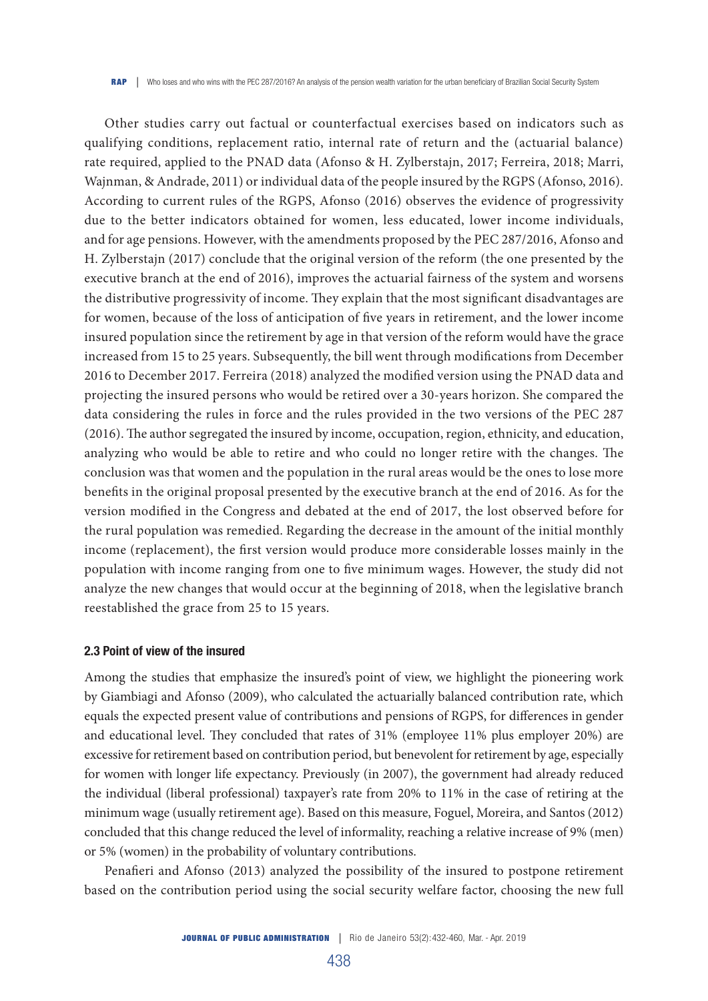Other studies carry out factual or counterfactual exercises based on indicators such as qualifying conditions, replacement ratio, internal rate of return and the (actuarial balance) rate required, applied to the PNAD data (Afonso & H. Zylberstajn, 2017; Ferreira, 2018; Marri, Wajnman, & Andrade, 2011) or individual data of the people insured by the RGPS (Afonso, 2016). According to current rules of the RGPS, Afonso (2016) observes the evidence of progressivity due to the better indicators obtained for women, less educated, lower income individuals, and for age pensions. However, with the amendments proposed by the PEC 287/2016, Afonso and H. Zylberstajn (2017) conclude that the original version of the reform (the one presented by the executive branch at the end of 2016), improves the actuarial fairness of the system and worsens the distributive progressivity of income. They explain that the most significant disadvantages are for women, because of the loss of anticipation of five years in retirement, and the lower income insured population since the retirement by age in that version of the reform would have the grace increased from 15 to 25 years. Subsequently, the bill went through modifications from December 2016 to December 2017. Ferreira (2018) analyzed the modified version using the PNAD data and projecting the insured persons who would be retired over a 30-years horizon. She compared the data considering the rules in force and the rules provided in the two versions of the PEC 287 (2016). The author segregated the insured by income, occupation, region, ethnicity, and education, analyzing who would be able to retire and who could no longer retire with the changes. The conclusion was that women and the population in the rural areas would be the ones to lose more benefits in the original proposal presented by the executive branch at the end of 2016. As for the version modified in the Congress and debated at the end of 2017, the lost observed before for the rural population was remedied. Regarding the decrease in the amount of the initial monthly income (replacement), the first version would produce more considerable losses mainly in the population with income ranging from one to five minimum wages. However, the study did not analyze the new changes that would occur at the beginning of 2018, when the legislative branch reestablished the grace from 25 to 15 years.

#### 2.3 Point of view of the insured

Among the studies that emphasize the insured's point of view, we highlight the pioneering work by Giambiagi and Afonso (2009), who calculated the actuarially balanced contribution rate, which equals the expected present value of contributions and pensions of RGPS, for differences in gender and educational level. They concluded that rates of 31% (employee 11% plus employer 20%) are excessive for retirement based on contribution period, but benevolent for retirement by age, especially for women with longer life expectancy. Previously (in 2007), the government had already reduced the individual (liberal professional) taxpayer's rate from 20% to 11% in the case of retiring at the minimum wage (usually retirement age). Based on this measure, Foguel, Moreira, and Santos (2012) concluded that this change reduced the level of informality, reaching a relative increase of 9% (men) or 5% (women) in the probability of voluntary contributions.

Penafieri and Afonso (2013) analyzed the possibility of the insured to postpone retirement based on the contribution period using the social security welfare factor, choosing the new full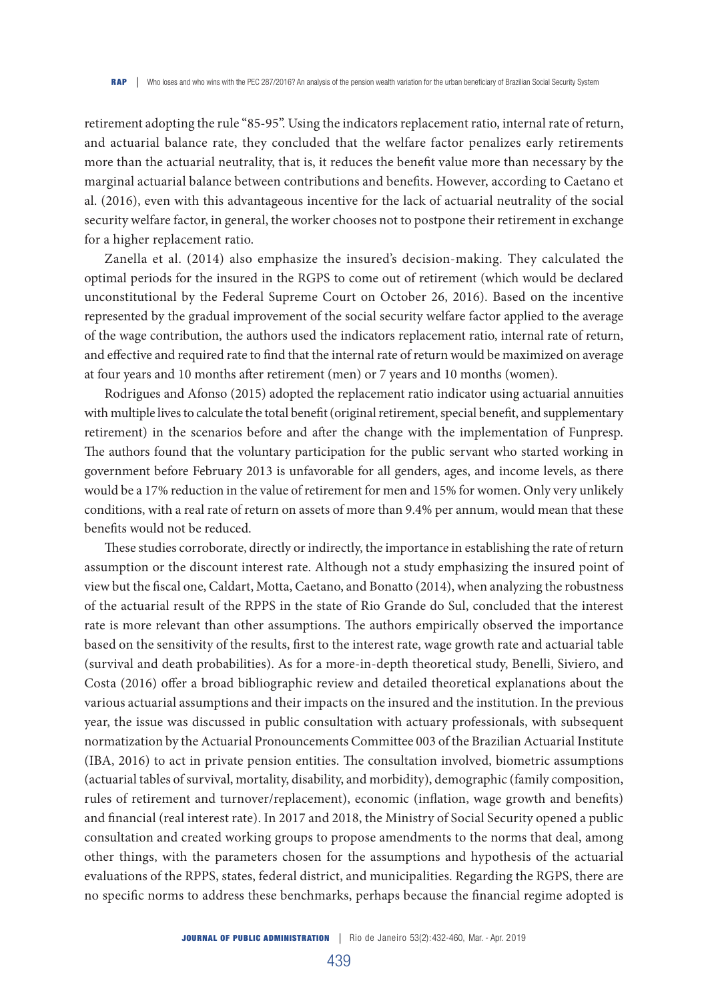retirement adopting the rule "85-95". Using the indicators replacement ratio, internal rate of return, and actuarial balance rate, they concluded that the welfare factor penalizes early retirements more than the actuarial neutrality, that is, it reduces the benefit value more than necessary by the marginal actuarial balance between contributions and benefits. However, according to Caetano et al. (2016), even with this advantageous incentive for the lack of actuarial neutrality of the social security welfare factor, in general, the worker chooses not to postpone their retirement in exchange for a higher replacement ratio.

Zanella et al. (2014) also emphasize the insured's decision-making. They calculated the optimal periods for the insured in the RGPS to come out of retirement (which would be declared unconstitutional by the Federal Supreme Court on October 26, 2016). Based on the incentive represented by the gradual improvement of the social security welfare factor applied to the average of the wage contribution, the authors used the indicators replacement ratio, internal rate of return, and effective and required rate to find that the internal rate of return would be maximized on average at four years and 10 months after retirement (men) or 7 years and 10 months (women).

Rodrigues and Afonso (2015) adopted the replacement ratio indicator using actuarial annuities with multiple lives to calculate the total benefit (original retirement, special benefit, and supplementary retirement) in the scenarios before and after the change with the implementation of Funpresp. The authors found that the voluntary participation for the public servant who started working in government before February 2013 is unfavorable for all genders, ages, and income levels, as there would be a 17% reduction in the value of retirement for men and 15% for women. Only very unlikely conditions, with a real rate of return on assets of more than 9.4% per annum, would mean that these benefits would not be reduced.

These studies corroborate, directly or indirectly, the importance in establishing the rate of return assumption or the discount interest rate. Although not a study emphasizing the insured point of view but the fiscal one, Caldart, Motta, Caetano, and Bonatto (2014), when analyzing the robustness of the actuarial result of the RPPS in the state of Rio Grande do Sul, concluded that the interest rate is more relevant than other assumptions. The authors empirically observed the importance based on the sensitivity of the results, first to the interest rate, wage growth rate and actuarial table (survival and death probabilities). As for a more-in-depth theoretical study, Benelli, Siviero, and Costa (2016) offer a broad bibliographic review and detailed theoretical explanations about the various actuarial assumptions and their impacts on the insured and the institution. In the previous year, the issue was discussed in public consultation with actuary professionals, with subsequent normatization by the Actuarial Pronouncements Committee 003 of the Brazilian Actuarial Institute (IBA, 2016) to act in private pension entities. The consultation involved, biometric assumptions (actuarial tables of survival, mortality, disability, and morbidity), demographic (family composition, rules of retirement and turnover/replacement), economic (inflation, wage growth and benefits) and financial (real interest rate). In 2017 and 2018, the Ministry of Social Security opened a public consultation and created working groups to propose amendments to the norms that deal, among other things, with the parameters chosen for the assumptions and hypothesis of the actuarial evaluations of the RPPS, states, federal district, and municipalities. Regarding the RGPS, there are no specific norms to address these benchmarks, perhaps because the financial regime adopted is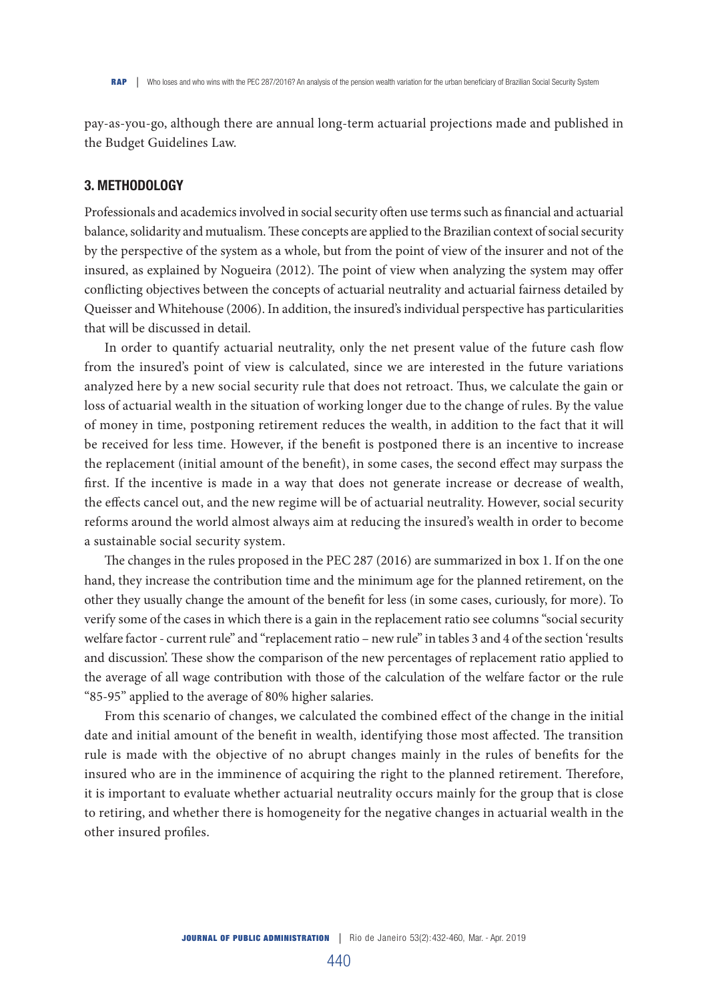pay-as-you-go, although there are annual long-term actuarial projections made and published in the Budget Guidelines Law.

## 3. METHODOLOGY

Professionals and academics involved in social security often use terms such as financial and actuarial balance, solidarity and mutualism. These concepts are applied to the Brazilian context of social security by the perspective of the system as a whole, but from the point of view of the insurer and not of the insured, as explained by Nogueira (2012). The point of view when analyzing the system may offer conflicting objectives between the concepts of actuarial neutrality and actuarial fairness detailed by Queisser and Whitehouse (2006). In addition, the insured's individual perspective has particularities that will be discussed in detail.

In order to quantify actuarial neutrality, only the net present value of the future cash flow from the insured's point of view is calculated, since we are interested in the future variations analyzed here by a new social security rule that does not retroact. Thus, we calculate the gain or loss of actuarial wealth in the situation of working longer due to the change of rules. By the value of money in time, postponing retirement reduces the wealth, in addition to the fact that it will be received for less time. However, if the benefit is postponed there is an incentive to increase the replacement (initial amount of the benefit), in some cases, the second effect may surpass the first. If the incentive is made in a way that does not generate increase or decrease of wealth, the effects cancel out, and the new regime will be of actuarial neutrality. However, social security reforms around the world almost always aim at reducing the insured's wealth in order to become a sustainable social security system.

The changes in the rules proposed in the PEC 287 (2016) are summarized in box 1. If on the one hand, they increase the contribution time and the minimum age for the planned retirement, on the other they usually change the amount of the benefit for less (in some cases, curiously, for more). To verify some of the cases in which there is a gain in the replacement ratio see columns "social security welfare factor - current rule" and "replacement ratio – new rule" in tables 3 and 4 of the section 'results and discussion'. These show the comparison of the new percentages of replacement ratio applied to the average of all wage contribution with those of the calculation of the welfare factor or the rule "85-95" applied to the average of 80% higher salaries.

From this scenario of changes, we calculated the combined effect of the change in the initial date and initial amount of the benefit in wealth, identifying those most affected. The transition rule is made with the objective of no abrupt changes mainly in the rules of benefits for the insured who are in the imminence of acquiring the right to the planned retirement. Therefore, it is important to evaluate whether actuarial neutrality occurs mainly for the group that is close to retiring, and whether there is homogeneity for the negative changes in actuarial wealth in the other insured profiles.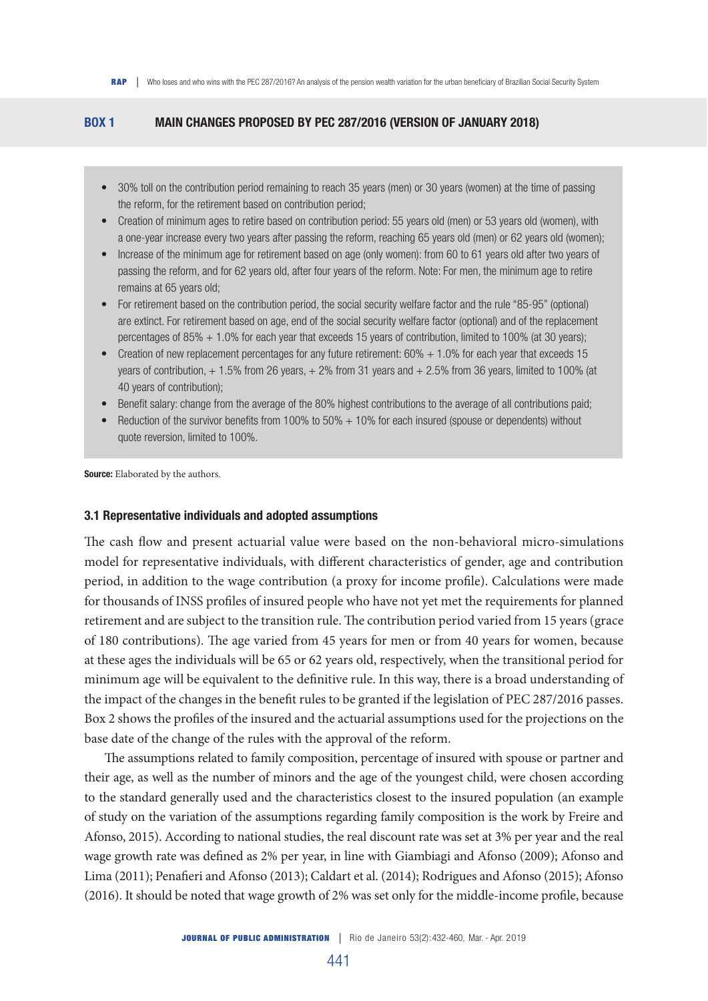## BOX 1 MAIN CHANGES PROPOSED BY PEC 287/2016 (VERSION OF JANUARY 2018)

- 30% toll on the contribution period remaining to reach 35 years (men) or 30 years (women) at the time of passing the reform, for the retirement based on contribution period;
- Creation of minimum ages to retire based on contribution period: 55 years old (men) or 53 years old (women), with a one-year increase every two years after passing the reform, reaching 65 years old (men) or 62 years old (women);
- Increase of the minimum age for retirement based on age (only women): from 60 to 61 years old after two years of passing the reform, and for 62 years old, after four years of the reform. Note: For men, the minimum age to retire remains at 65 years old;
- For retirement based on the contribution period, the social security welfare factor and the rule "85-95" (optional) are extinct. For retirement based on age, end of the social security welfare factor (optional) and of the replacement percentages of 85% + 1.0% for each year that exceeds 15 years of contribution, limited to 100% (at 30 years);
- Creation of new replacement percentages for any future retirement: 60% + 1.0% for each year that exceeds 15 years of contribution, + 1.5% from 26 years, + 2% from 31 years and + 2.5% from 36 years, limited to 100% (at 40 years of contribution);
- Benefit salary: change from the average of the 80% highest contributions to the average of all contributions paid;
- Reduction of the survivor benefits from 100% to 50% + 10% for each insured (spouse or dependents) without quote reversion, limited to 100%.

Source: Elaborated by the authors.

#### 3.1 Representative individuals and adopted assumptions

The cash flow and present actuarial value were based on the non-behavioral micro-simulations model for representative individuals, with different characteristics of gender, age and contribution period, in addition to the wage contribution (a proxy for income profile). Calculations were made for thousands of INSS profiles of insured people who have not yet met the requirements for planned retirement and are subject to the transition rule. The contribution period varied from 15 years (grace of 180 contributions). The age varied from 45 years for men or from 40 years for women, because at these ages the individuals will be 65 or 62 years old, respectively, when the transitional period for minimum age will be equivalent to the definitive rule. In this way, there is a broad understanding of the impact of the changes in the benefit rules to be granted if the legislation of PEC 287/2016 passes. Box 2 shows the profiles of the insured and the actuarial assumptions used for the projections on the base date of the change of the rules with the approval of the reform.

The assumptions related to family composition, percentage of insured with spouse or partner and their age, as well as the number of minors and the age of the youngest child, were chosen according to the standard generally used and the characteristics closest to the insured population (an example of study on the variation of the assumptions regarding family composition is the work by Freire and Afonso, 2015). According to national studies, the real discount rate was set at 3% per year and the real wage growth rate was defined as 2% per year, in line with Giambiagi and Afonso (2009); Afonso and Lima (2011); Penafieri and Afonso (2013); Caldart et al. (2014); Rodrigues and Afonso (2015); Afonso (2016). It should be noted that wage growth of 2% was set only for the middle-income profile, because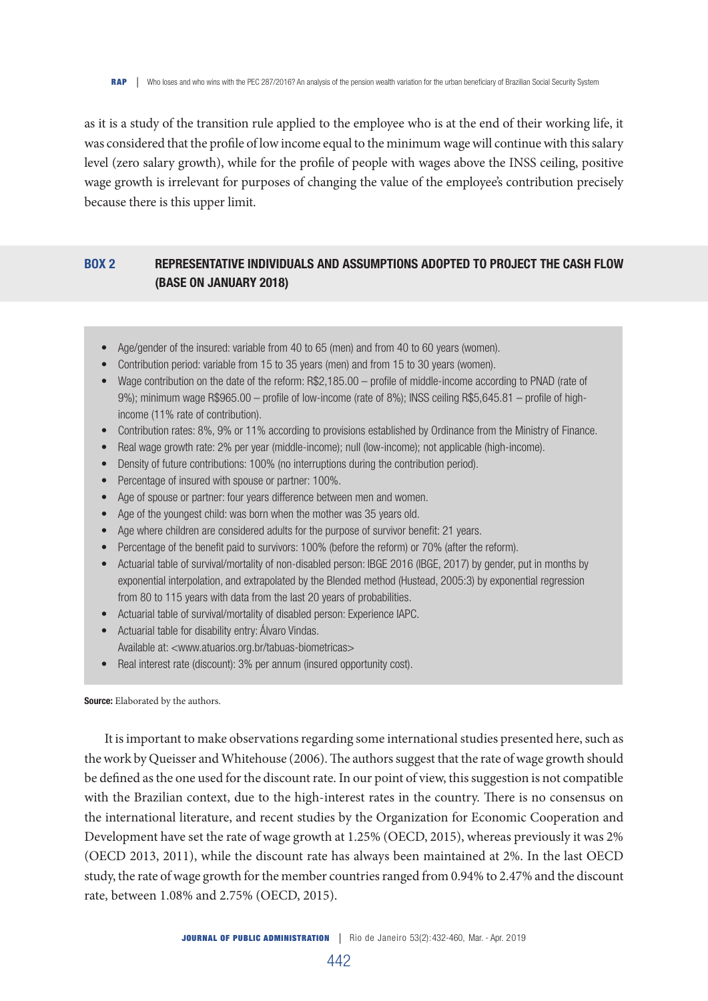as it is a study of the transition rule applied to the employee who is at the end of their working life, it was considered that the profile of low income equal to the minimum wage will continue with this salary level (zero salary growth), while for the profile of people with wages above the INSS ceiling, positive wage growth is irrelevant for purposes of changing the value of the employee's contribution precisely because there is this upper limit.

# BOX 2 REPRESENTATIVE INDIVIDUALS AND ASSUMPTIONS ADOPTED TO PROJECT THE CASH FLOW (BASE ON JANUARY 2018)

- Age/gender of the insured: variable from 40 to 65 (men) and from 40 to 60 years (women).
- Contribution period: variable from 15 to 35 years (men) and from 15 to 30 years (women).
- Wage contribution on the date of the reform: R\$2,185.00 profile of middle-income according to PNAD (rate of 9%); minimum wage R\$965.00 – profile of low-income (rate of 8%); INSS ceiling R\$5,645.81 – profile of highincome (11% rate of contribution).
- Contribution rates: 8%, 9% or 11% according to provisions established by Ordinance from the Ministry of Finance.
- Real wage growth rate: 2% per year (middle-income); null (low-income); not applicable (high-income).
- Density of future contributions: 100% (no interruptions during the contribution period).
- Percentage of insured with spouse or partner: 100%.
- Age of spouse or partner: four years difference between men and women.
- Age of the youngest child: was born when the mother was 35 years old.
- Age where children are considered adults for the purpose of survivor benefit: 21 years.
- Percentage of the benefit paid to survivors: 100% (before the reform) or 70% (after the reform).
- Actuarial table of survival/mortality of non-disabled person: IBGE 2016 (IBGE, 2017) by gender, put in months by exponential interpolation, and extrapolated by the Blended method (Hustead, 2005:3) by exponential regression from 80 to 115 years with data from the last 20 years of probabilities.
- Actuarial table of survival/mortality of disabled person: Experience IAPC.
- Actuarial table for disability entry: Álvaro Vindas. Available at: <www.atuarios.org.br/tabuas-biometricas>
- Real interest rate (discount): 3% per annum (insured opportunity cost).

#### Source: Elaborated by the authors.

It is important to make observations regarding some international studies presented here, such as the work by Queisser and Whitehouse (2006). The authors suggest that the rate of wage growth should be defined as the one used for the discount rate. In our point of view, this suggestion is not compatible with the Brazilian context, due to the high-interest rates in the country. There is no consensus on the international literature, and recent studies by the Organization for Economic Cooperation and Development have set the rate of wage growth at 1.25% (OECD, 2015), whereas previously it was 2% (OECD 2013, 2011), while the discount rate has always been maintained at 2%. In the last OECD study, the rate of wage growth for the member countries ranged from 0.94% to 2.47% and the discount rate, between 1.08% and 2.75% (OECD, 2015).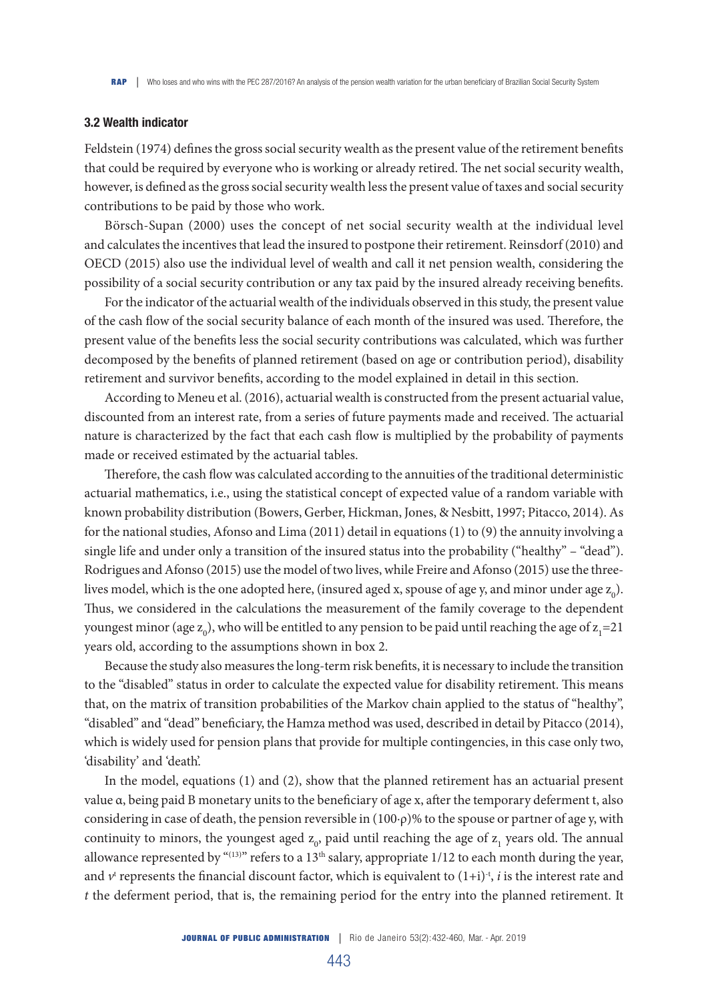#### 3.2 Wealth indicator

Feldstein (1974) defines the gross social security wealth as the present value of the retirement benefits that could be required by everyone who is working or already retired. The net social security wealth, however, is defined as the gross social security wealth less the present value of taxes and social security contributions to be paid by those who work.

Börsch-Supan (2000) uses the concept of net social security wealth at the individual level and calculates the incentives that lead the insured to postpone their retirement. Reinsdorf (2010) and OECD (2015) also use the individual level of wealth and call it net pension wealth, considering the possibility of a social security contribution or any tax paid by the insured already receiving benefits.

For the indicator of the actuarial wealth of the individuals observed in this study, the present value of the cash flow of the social security balance of each month of the insured was used. Therefore, the present value of the benefits less the social security contributions was calculated, which was further decomposed by the benefits of planned retirement (based on age or contribution period), disability retirement and survivor benefits, according to the model explained in detail in this section.

According to Meneu et al. (2016), actuarial wealth is constructed from the present actuarial value, discounted from an interest rate, from a series of future payments made and received. The actuarial nature is characterized by the fact that each cash flow is multiplied by the probability of payments made or received estimated by the actuarial tables.

Therefore, the cash flow was calculated according to the annuities of the traditional deterministic actuarial mathematics, i.e., using the statistical concept of expected value of a random variable with known probability distribution (Bowers, Gerber, Hickman, Jones, & Nesbitt, 1997; Pitacco, 2014). As for the national studies, Afonso and Lima (2011) detail in equations (1) to (9) the annuity involving a single life and under only a transition of the insured status into the probability ("healthy" – "dead"). Rodrigues and Afonso (2015) use the model of two lives, while Freire and Afonso (2015) use the threelives model, which is the one adopted here, (insured aged x, spouse of age y, and minor under age  $z_0$ ). Thus, we considered in the calculations the measurement of the family coverage to the dependent youngest minor (age  $z_0$ ), who will be entitled to any pension to be paid until reaching the age of  $z_1$ =21 years old, according to the assumptions shown in box 2.

Because the study also measures the long-term risk benefits, it is necessary to include the transition to the "disabled" status in order to calculate the expected value for disability retirement. This means that, on the matrix of transition probabilities of the Markov chain applied to the status of "healthy", "disabled" and "dead" beneficiary, the Hamza method was used, described in detail by Pitacco (2014), which is widely used for pension plans that provide for multiple contingencies, in this case only two, 'disability' and 'death'.

In the model, equations (1) and (2), show that the planned retirement has an actuarial present value α, being paid B monetary units to the beneficiary of age x, after the temporary deferment t, also considering in case of death, the pension reversible in (100·ρ)% to the spouse or partner of age y, with continuity to minors, the youngest aged  $z_0$ , paid until reaching the age of  $z_1$  years old. The annual allowance represented by "(13)" refers to a 13<sup>th</sup> salary, appropriate 1/12 to each month during the year, and  $v^t$  represents the financial discount factor, which is equivalent to  $(1+i)^{-t}$ , *i* is the interest rate and *t* the deferment period, that is, the remaining period for the entry into the planned retirement. It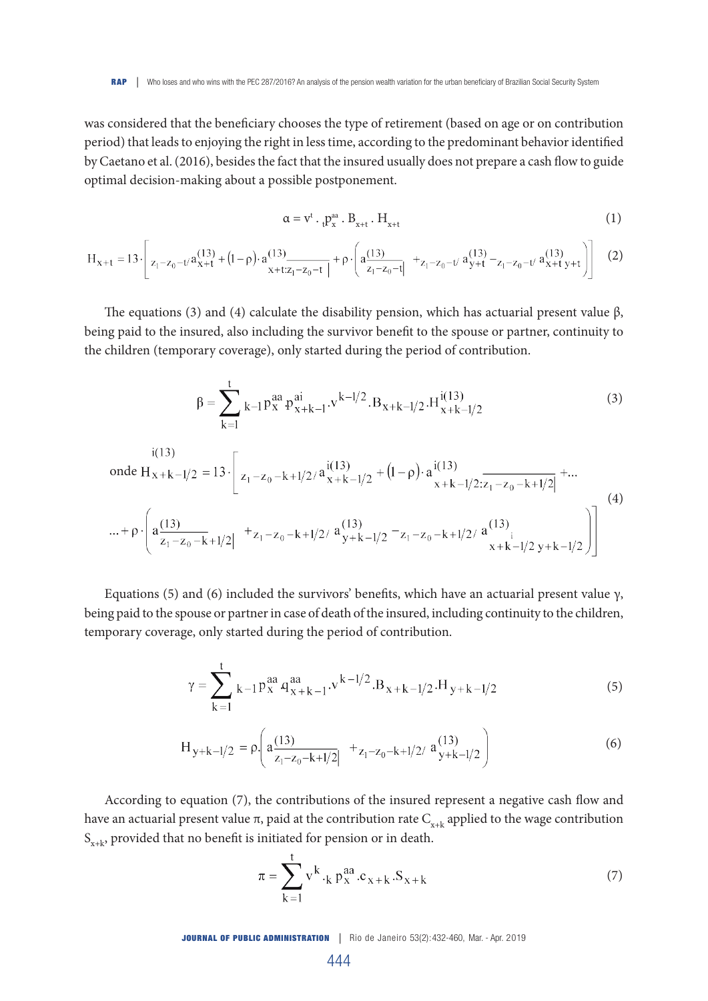was considered that the beneficiary chooses the type of retirement (based on age or on contribution period) that leads to enjoying the right in less time, according to the predominant behavior identified by Caetano et al. (2016), besides the fact that the insured usually does not prepare a cash flow to guide optimal decision-making about a possible postponement.

$$
\alpha = v^t \cdot {}_{t}P_x^{aa} \cdot B_{x+t} \cdot H_{x+t} \tag{1}
$$

$$
H_{x+t} = 13 \cdot \left[ z_1 - z_0 - t \cdot a_{x+t}^{(13)} + (1-\rho) \cdot a_{x+t:z_1-z_0-t}^{(13)} \right] + \rho \cdot \left( a_{z_1-z_0-t}^{(13)} \right] + z_1 - z_0 - t \cdot a_{y+t}^{(13)} - z_1 - z_0 - t \cdot a_{x+t}^{(13)} y + t \right)
$$
(2)

The equations (3) and (4) calculate the disability pension, which has actuarial present value  $\beta$ , being paid to the insured, also including the survivor benefit to the spouse or partner, continuity to the children (temporary coverage), only started during the period of contribution.

$$
\beta = \sum_{k=1}^{t} k - 1 p_x^{aa} p_{x+k-1}^{ai} \cdot v^{k-1/2} \cdot B_{x+k-1/2} \cdot H_{x+k-1/2}^{i(13)}
$$
(3)

$$
\begin{aligned}\n\text{inde } H_{x+k-1/2} &= 13 \cdot \left[ z_1 - z_0 - k + 1/2 / 4 \frac{i(13)}{x+k-1/2} + (1-\rho) \cdot a \frac{i(13)}{x+k-1/2} \frac{x+k-1/2}{z_1 - z_0 - k + 1/2} \right] + \dots \\
&\dots + \rho \cdot \left( a \frac{(13)}{z_1 - z_0 - k + 1/2} \Big|_0^1 + z_1 - z_0 - k + 1/2 / 4 \frac{(13)}{y+k-1/2} - z_1 - z_0 - k + 1/2 / 4 \frac{(13)}{x+k-1/2} \frac{x+k-1/2}{y+k-1/2} \Big|_0^1 \right)\n\end{aligned} \tag{4}
$$

Equations (5) and (6) included the survivors' benefits, which have an actuarial present value  $\gamma$ , being paid to the spouse or partner in case of death of the insured, including continuity to the children, temporary coverage, only started during the period of contribution.

$$
\gamma = \sum_{k=1}^{t} k - 1 p_x^{aa} q_{x+k-1}^{aa} \cdot v^{k-1/2} \cdot B_{x+k-1/2} \cdot H_{y+k-1/2}
$$
(5)

$$
H_{y+k-l/2} = \rho \left( a \frac{(13)}{z_1 - z_0 - k + l/2} \Big|_{z_1 - z_0 - k + l/2} + z_1 - z_0 - k + l/2 / a \frac{(13)}{y+k-l/2} \right) \tag{6}
$$

According to equation (7), the contributions of the insured represent a negative cash flow and have an actuarial present value π, paid at the contribution rate  $C_{x+k}$  applied to the wage contribution  $S_{x+k}$ , provided that no benefit is initiated for pension or in death.

$$
\pi = \sum_{k=1}^{L} v^{k} \cdot_{k} p_{x}^{aa} \cdot c_{x+k} \cdot S_{x+k}
$$
 (7)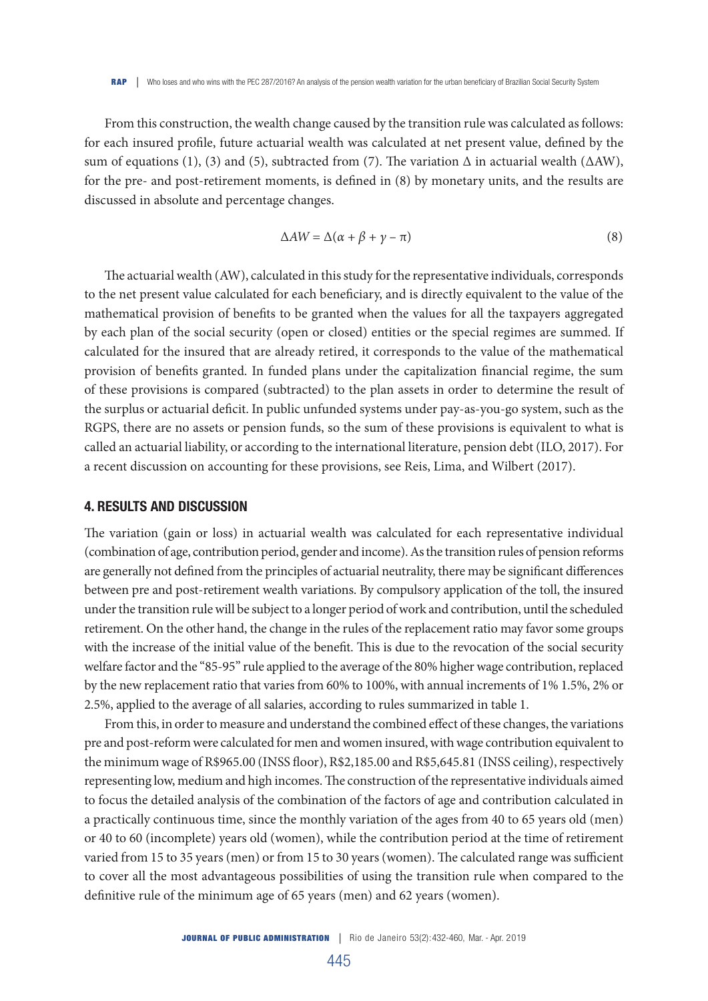From this construction, the wealth change caused by the transition rule was calculated as follows: for each insured profile, future actuarial wealth was calculated at net present value, defined by the sum of equations (1), (3) and (5), subtracted from (7). The variation  $\Delta$  in actuarial wealth ( $\Delta$ AW), for the pre- and post-retirement moments, is defined in (8) by monetary units, and the results are discussed in absolute and percentage changes.

$$
\Delta AW = \Delta(\alpha + \beta + \gamma - \pi) \tag{8}
$$

The actuarial wealth (AW), calculated in this study for the representative individuals, corresponds to the net present value calculated for each beneficiary, and is directly equivalent to the value of the mathematical provision of benefits to be granted when the values for all the taxpayers aggregated by each plan of the social security (open or closed) entities or the special regimes are summed. If calculated for the insured that are already retired, it corresponds to the value of the mathematical provision of benefits granted. In funded plans under the capitalization financial regime, the sum of these provisions is compared (subtracted) to the plan assets in order to determine the result of the surplus or actuarial deficit. In public unfunded systems under pay-as-you-go system, such as the RGPS, there are no assets or pension funds, so the sum of these provisions is equivalent to what is called an actuarial liability, or according to the international literature, pension debt (ILO, 2017). For a recent discussion on accounting for these provisions, see Reis, Lima, and Wilbert (2017).

#### 4. RESULTS AND DISCUSSION

The variation (gain or loss) in actuarial wealth was calculated for each representative individual (combination of age, contribution period, gender and income). As the transition rules of pension reforms are generally not defined from the principles of actuarial neutrality, there may be significant differences between pre and post-retirement wealth variations. By compulsory application of the toll, the insured under the transition rule will be subject to a longer period of work and contribution, until the scheduled retirement. On the other hand, the change in the rules of the replacement ratio may favor some groups with the increase of the initial value of the benefit. This is due to the revocation of the social security welfare factor and the "85-95" rule applied to the average of the 80% higher wage contribution, replaced by the new replacement ratio that varies from 60% to 100%, with annual increments of 1% 1.5%, 2% or 2.5%, applied to the average of all salaries, according to rules summarized in table 1.

From this, in order to measure and understand the combined effect of these changes, the variations pre and post-reform were calculated for men and women insured, with wage contribution equivalent to the minimum wage of R\$965.00 (INSS floor), R\$2,185.00 and R\$5,645.81 (INSS ceiling), respectively representing low, medium and high incomes. The construction of the representative individuals aimed to focus the detailed analysis of the combination of the factors of age and contribution calculated in a practically continuous time, since the monthly variation of the ages from 40 to 65 years old (men) or 40 to 60 (incomplete) years old (women), while the contribution period at the time of retirement varied from 15 to 35 years (men) or from 15 to 30 years (women). The calculated range was sufficient to cover all the most advantageous possibilities of using the transition rule when compared to the definitive rule of the minimum age of 65 years (men) and 62 years (women).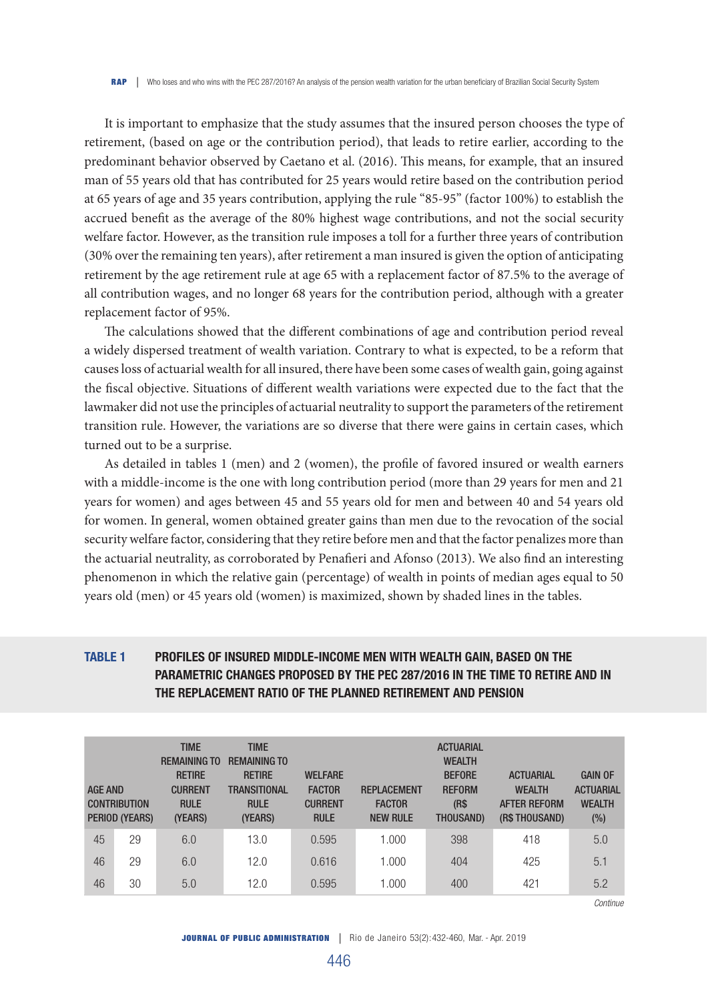It is important to emphasize that the study assumes that the insured person chooses the type of retirement, (based on age or the contribution period), that leads to retire earlier, according to the predominant behavior observed by Caetano et al. (2016). This means, for example, that an insured man of 55 years old that has contributed for 25 years would retire based on the contribution period at 65 years of age and 35 years contribution, applying the rule "85-95" (factor 100%) to establish the accrued benefit as the average of the 80% highest wage contributions, and not the social security welfare factor. However, as the transition rule imposes a toll for a further three years of contribution (30% over the remaining ten years), after retirement a man insured is given the option of anticipating retirement by the age retirement rule at age 65 with a replacement factor of 87.5% to the average of all contribution wages, and no longer 68 years for the contribution period, although with a greater replacement factor of 95%.

The calculations showed that the different combinations of age and contribution period reveal a widely dispersed treatment of wealth variation. Contrary to what is expected, to be a reform that causes loss of actuarial wealth for all insured, there have been some cases of wealth gain, going against the fiscal objective. Situations of different wealth variations were expected due to the fact that the lawmaker did not use the principles of actuarial neutrality to support the parameters of the retirement transition rule. However, the variations are so diverse that there were gains in certain cases, which turned out to be a surprise.

As detailed in tables 1 (men) and 2 (women), the profile of favored insured or wealth earners with a middle-income is the one with long contribution period (more than 29 years for men and 21 years for women) and ages between 45 and 55 years old for men and between 40 and 54 years old for women. In general, women obtained greater gains than men due to the revocation of the social security welfare factor, considering that they retire before men and that the factor penalizes more than the actuarial neutrality, as corroborated by Penafieri and Afonso (2013). We also find an interesting phenomenon in which the relative gain (percentage) of wealth in points of median ages equal to 50 years old (men) or 45 years old (women) is maximized, shown by shaded lines in the tables.

# TABLE 1 PROFILES OF INSURED MIDDLE-INCOME MEN WITH WEALTH GAIN, BASED ON THE PARAMETRIC CHANGES PROPOSED BY THE PEC 287/2016 IN THE TIME TO RETIRE AND IN THE REPLACEMENT RATIO OF THE PLANNED RETIREMENT AND PENSION

| <b>AGE AND</b> | <b>CONTRIBUTION</b><br>PERIOD (YEARS) | <b>TIME</b><br><b>REMAINING TO</b><br><b>RETIRE</b><br><b>CURRENT</b><br><b>RULE</b><br>(YEARS) | <b>TIME</b><br><b>REMAINING TO</b><br><b>RETIRE</b><br><b>TRANSITIONAL</b><br><b>RULE</b><br>(YEARS) | <b>WELFARE</b><br><b>FACTOR</b><br><b>CURRENT</b><br><b>RULE</b> | <b>REPLACEMENT</b><br><b>FACTOR</b><br><b>NEW RULE</b> | <b>ACTUARIAL</b><br><b>WEALTH</b><br><b>BEFORE</b><br><b>REFORM</b><br>(R <sub>s</sub> )<br><b>THOUSAND)</b> | <b>ACTUARIAL</b><br><b>WEALTH</b><br><b>AFTER REFORM</b><br>(R\$ THOUSAND) | <b>GAIN OF</b><br><b>ACTUARIAL</b><br><b>WEALTH</b><br>$(\%)$ |
|----------------|---------------------------------------|-------------------------------------------------------------------------------------------------|------------------------------------------------------------------------------------------------------|------------------------------------------------------------------|--------------------------------------------------------|--------------------------------------------------------------------------------------------------------------|----------------------------------------------------------------------------|---------------------------------------------------------------|
| 45             | 29                                    | 6.0                                                                                             | 13.0                                                                                                 | 0.595                                                            | 1.000                                                  | 398                                                                                                          | 418                                                                        | 5.0                                                           |
| 46             | 29                                    | 6.0                                                                                             | 12.0                                                                                                 | 0.616                                                            | 1.000                                                  | 404                                                                                                          | 425                                                                        | 5.1                                                           |
| 46             | 30                                    | 5.0                                                                                             | 12.0                                                                                                 | 0.595                                                            | 1.000                                                  | 400                                                                                                          | 421                                                                        | 5.2                                                           |

*Continue*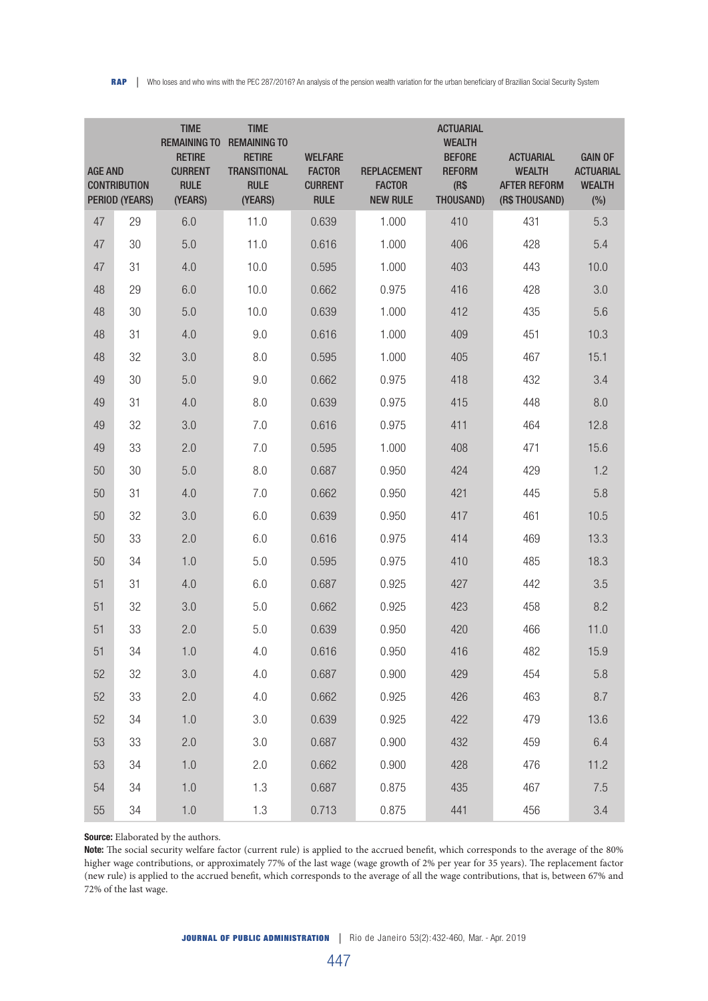| <b>AGE AND</b> | <b>CONTRIBUTION</b><br>PERIOD (YEARS) | <b>TIME</b><br><b>REMAINING TO</b><br><b>RETIRE</b><br><b>CURRENT</b><br><b>RULE</b><br>(YEARS) | <b>TIME</b><br><b>REMAINING TO</b><br><b>RETIRE</b><br><b>TRANSITIONAL</b><br><b>RULE</b><br>(YEARS) | <b>WELFARE</b><br><b>FACTOR</b><br><b>CURRENT</b><br><b>RULE</b> | <b>REPLACEMENT</b><br><b>FACTOR</b><br><b>NEW RULE</b> | <b>ACTUARIAL</b><br><b>WEALTH</b><br><b>BEFORE</b><br><b>REFORM</b><br>(R\$<br>THOUSAND) | <b>ACTUARIAL</b><br><b>WEALTH</b><br><b>AFTER REFORM</b><br>(R\$THOUSAND) | <b>GAIN OF</b><br><b>ACTUARIAL</b><br><b>WEALTH</b><br>(%) |
|----------------|---------------------------------------|-------------------------------------------------------------------------------------------------|------------------------------------------------------------------------------------------------------|------------------------------------------------------------------|--------------------------------------------------------|------------------------------------------------------------------------------------------|---------------------------------------------------------------------------|------------------------------------------------------------|
| 47             | 29                                    | 6.0                                                                                             | 11.0                                                                                                 | 0.639                                                            | 1.000                                                  | 410                                                                                      | 431                                                                       | 5.3                                                        |
| 47             | 30                                    | 5.0                                                                                             | 11.0                                                                                                 | 0.616                                                            | 1.000                                                  | 406                                                                                      | 428                                                                       | 5.4                                                        |
| 47             | 31                                    | 4.0                                                                                             | 10.0                                                                                                 | 0.595                                                            | 1.000                                                  | 403                                                                                      | 443                                                                       | 10.0                                                       |
| 48             | 29                                    | 6.0                                                                                             | 10.0                                                                                                 | 0.662                                                            | 0.975                                                  | 416                                                                                      | 428                                                                       | 3.0                                                        |
| 48             | 30                                    | 5.0                                                                                             | 10.0                                                                                                 | 0.639                                                            | 1.000                                                  | 412                                                                                      | 435                                                                       | 5.6                                                        |
| 48             | 31                                    | 4.0                                                                                             | 9.0                                                                                                  | 0.616                                                            | 1.000                                                  | 409                                                                                      | 451                                                                       | 10.3                                                       |
| 48             | 32                                    | 3.0                                                                                             | 8.0                                                                                                  | 0.595                                                            | 1.000                                                  | 405                                                                                      | 467                                                                       | 15.1                                                       |
| 49             | 30                                    | 5.0                                                                                             | 9.0                                                                                                  | 0.662                                                            | 0.975                                                  | 418                                                                                      | 432                                                                       | 3.4                                                        |
| 49             | 31                                    | 4.0                                                                                             | 8.0                                                                                                  | 0.639                                                            | 0.975                                                  | 415                                                                                      | 448                                                                       | 8.0                                                        |
| 49             | 32                                    | 3.0                                                                                             | 7.0                                                                                                  | 0.616                                                            | 0.975                                                  | 411                                                                                      | 464                                                                       | 12.8                                                       |
| 49             | 33                                    | 2.0                                                                                             | 7.0                                                                                                  | 0.595                                                            | 1.000                                                  | 408                                                                                      | 471                                                                       | 15.6                                                       |
| 50             | 30                                    | 5.0                                                                                             | 8.0                                                                                                  | 0.687                                                            | 0.950                                                  | 424                                                                                      | 429                                                                       | 1.2                                                        |
| 50             | 31                                    | 4.0                                                                                             | 7.0                                                                                                  | 0.662                                                            | 0.950                                                  | 421                                                                                      | 445                                                                       | 5.8                                                        |
| 50             | 32                                    | 3.0                                                                                             | 6.0                                                                                                  | 0.639                                                            | 0.950                                                  | 417                                                                                      | 461                                                                       | 10.5                                                       |
| 50             | 33                                    | 2.0                                                                                             | 6.0                                                                                                  | 0.616                                                            | 0.975                                                  | 414                                                                                      | 469                                                                       | 13.3                                                       |
| 50             | 34                                    | 1.0                                                                                             | 5.0                                                                                                  | 0.595                                                            | 0.975                                                  | 410                                                                                      | 485                                                                       | 18.3                                                       |
| 51             | 31                                    | 4.0                                                                                             | 6.0                                                                                                  | 0.687                                                            | 0.925                                                  | 427                                                                                      | 442                                                                       | 3.5                                                        |
| 51             | 32                                    | 3.0                                                                                             | 5.0                                                                                                  | 0.662                                                            | 0.925                                                  | 423                                                                                      | 458                                                                       | 8.2                                                        |
| 51             | 33                                    | 2.0                                                                                             | 5.0                                                                                                  | 0.639                                                            | 0.950                                                  | 420                                                                                      | 466                                                                       | 11.0                                                       |
| 51             | 34                                    | 1.0                                                                                             | 4.0                                                                                                  | 0.616                                                            | 0.950                                                  | 416                                                                                      | 482                                                                       | 15.9                                                       |
| 52             | 32                                    | 3.0                                                                                             | 4.0                                                                                                  | 0.687                                                            | 0.900                                                  | 429                                                                                      | 454                                                                       | 5.8                                                        |
| 52             | 33                                    | 2.0                                                                                             | 4.0                                                                                                  | 0.662                                                            | 0.925                                                  | 426                                                                                      | 463                                                                       | 8.7                                                        |
| 52             | 34                                    | 1.0                                                                                             | 3.0                                                                                                  | 0.639                                                            | 0.925                                                  | 422                                                                                      | 479                                                                       | 13.6                                                       |
| 53             | 33                                    | 2.0                                                                                             | 3.0                                                                                                  | 0.687                                                            | 0.900                                                  | 432                                                                                      | 459                                                                       | 6.4                                                        |
| 53             | 34                                    | 1.0                                                                                             | 2.0                                                                                                  | 0.662                                                            | 0.900                                                  | 428                                                                                      | 476                                                                       | 11.2                                                       |
| 54             | 34                                    | 1.0                                                                                             | 1.3                                                                                                  | 0.687                                                            | 0.875                                                  | 435                                                                                      | 467                                                                       | 7.5                                                        |
| 55             | 34                                    | 1.0                                                                                             | 1.3                                                                                                  | 0.713                                                            | 0.875                                                  | 441                                                                                      | 456                                                                       | 3.4                                                        |

Source: Elaborated by the authors.

Note: The social security welfare factor (current rule) is applied to the accrued benefit, which corresponds to the average of the 80% higher wage contributions, or approximately 77% of the last wage (wage growth of 2% per year for 35 years). The replacement factor (new rule) is applied to the accrued benefit, which corresponds to the average of all the wage contributions, that is, between 67% and 72% of the last wage.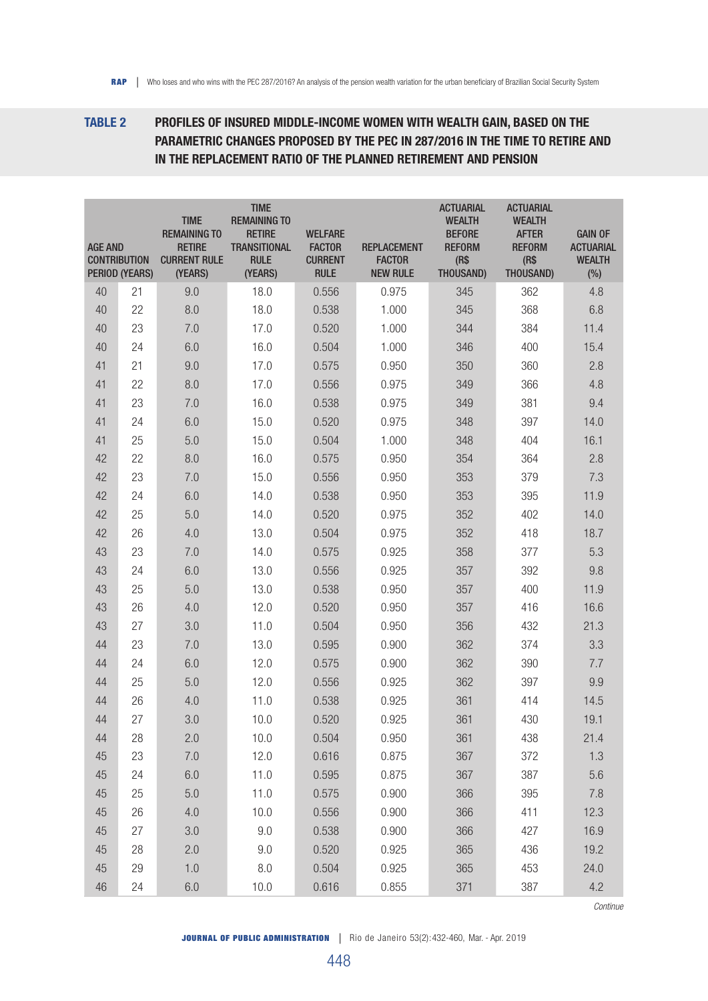# TABLE 2 PROFILES OF INSURED MIDDLE-INCOME WOMEN WITH WEALTH GAIN, BASED ON THE PARAMETRIC CHANGES PROPOSED BY THE PEC IN 287/2016 IN THE TIME TO RETIRE AND IN THE REPLACEMENT RATIO OF THE PLANNED RETIREMENT AND PENSION

| <b>AGE AND</b><br><b>CONTRIBUTION</b> | PERIOD (YEARS) | <b>TIME</b><br><b>REMAINING TO</b><br><b>RETIRE</b><br><b>CURRENT RULE</b><br>(YEARS) | <b>TIME</b><br><b>REMAINING TO</b><br><b>RETIRE</b><br><b>TRANSITIONAL</b><br><b>RULE</b><br>(YEARS) | <b>WELFARE</b><br><b>FACTOR</b><br><b>CURRENT</b><br><b>RULE</b> | <b>REPLACEMENT</b><br><b>FACTOR</b><br><b>NEW RULE</b> | <b>ACTUARIAL</b><br><b>WEALTH</b><br><b>BEFORE</b><br><b>REFORM</b><br>(R\$<br>THOUSAND) | <b>ACTUARIAL</b><br><b>WEALTH</b><br><b>AFTER</b><br><b>REFORM</b><br>(R\$<br>THOUSAND) | <b>GAIN OF</b><br><b>ACTUARIAL</b><br><b>WEALTH</b><br>(%) |
|---------------------------------------|----------------|---------------------------------------------------------------------------------------|------------------------------------------------------------------------------------------------------|------------------------------------------------------------------|--------------------------------------------------------|------------------------------------------------------------------------------------------|-----------------------------------------------------------------------------------------|------------------------------------------------------------|
| 40                                    | 21             | 9.0                                                                                   | 18.0                                                                                                 | 0.556                                                            | 0.975                                                  | 345                                                                                      | 362                                                                                     | 4.8                                                        |
| 40                                    | 22             | 8.0                                                                                   | 18.0                                                                                                 | 0.538                                                            | 1.000                                                  | 345                                                                                      | 368                                                                                     | 6.8                                                        |
| 40                                    | 23             | 7.0                                                                                   | 17.0                                                                                                 | 0.520                                                            | 1.000                                                  | 344                                                                                      | 384                                                                                     | 11.4                                                       |
| 40                                    | 24             | 6.0                                                                                   | 16.0                                                                                                 | 0.504                                                            | 1.000                                                  | 346                                                                                      | 400                                                                                     | 15.4                                                       |
| 41                                    | 21             | 9.0                                                                                   | 17.0                                                                                                 | 0.575                                                            | 0.950                                                  | 350                                                                                      | 360                                                                                     | 2.8                                                        |
| 41                                    | 22             | 8.0                                                                                   | 17.0                                                                                                 | 0.556                                                            | 0.975                                                  | 349                                                                                      | 366                                                                                     | 4.8                                                        |
| 41                                    | 23             | 7.0                                                                                   | 16.0                                                                                                 | 0.538                                                            | 0.975                                                  | 349                                                                                      | 381                                                                                     | 9.4                                                        |
| 41                                    | 24             | 6.0                                                                                   | 15.0                                                                                                 | 0.520                                                            | 0.975                                                  | 348                                                                                      | 397                                                                                     | 14.0                                                       |
| 41                                    | 25             | 5.0                                                                                   | 15.0                                                                                                 | 0.504                                                            | 1.000                                                  | 348                                                                                      | 404                                                                                     | 16.1                                                       |
| 42                                    | 22             | 8.0                                                                                   | 16.0                                                                                                 | 0.575                                                            | 0.950                                                  | 354                                                                                      | 364                                                                                     | 2.8                                                        |
| 42                                    | 23             | 7.0                                                                                   | 15.0                                                                                                 | 0.556                                                            | 0.950                                                  | 353                                                                                      | 379                                                                                     | 7.3                                                        |
| 42                                    | 24             | 6.0                                                                                   | 14.0                                                                                                 | 0.538                                                            | 0.950                                                  | 353                                                                                      | 395                                                                                     | 11.9                                                       |
| 42                                    | 25             | 5.0                                                                                   | 14.0                                                                                                 | 0.520                                                            | 0.975                                                  | 352                                                                                      | 402                                                                                     | 14.0                                                       |
| 42                                    | 26             | 4.0                                                                                   | 13.0                                                                                                 | 0.504                                                            | 0.975                                                  | 352                                                                                      | 418                                                                                     | 18.7                                                       |
| 43                                    | 23             | 7.0                                                                                   | 14.0                                                                                                 | 0.575                                                            | 0.925                                                  | 358                                                                                      | 377                                                                                     | 5.3                                                        |
| 43                                    | 24             | 6.0                                                                                   | 13.0                                                                                                 | 0.556                                                            | 0.925                                                  | 357                                                                                      | 392                                                                                     | 9.8                                                        |
| 43                                    | 25             | 5.0                                                                                   | 13.0                                                                                                 | 0.538                                                            | 0.950                                                  | 357                                                                                      | 400                                                                                     | 11.9                                                       |
| 43                                    | 26             | 4.0                                                                                   | 12.0                                                                                                 | 0.520                                                            | 0.950                                                  | 357                                                                                      | 416                                                                                     | 16.6                                                       |
| 43                                    | 27             | 3.0                                                                                   | 11.0                                                                                                 | 0.504                                                            | 0.950                                                  | 356                                                                                      | 432                                                                                     | 21.3                                                       |
| 44                                    | 23             | 7.0                                                                                   | 13.0                                                                                                 | 0.595                                                            | 0.900                                                  | 362                                                                                      | 374                                                                                     | 3.3                                                        |
| 44                                    | 24             | 6.0                                                                                   | 12.0                                                                                                 | 0.575                                                            | 0.900                                                  | 362                                                                                      | 390                                                                                     | 7.7                                                        |
| 44                                    | 25             | 5.0                                                                                   | 12.0                                                                                                 | 0.556                                                            | 0.925                                                  | 362                                                                                      | 397                                                                                     | 9.9                                                        |
| 44                                    | 26             | 4.0                                                                                   | 11.0                                                                                                 | 0.538                                                            | 0.925                                                  | 361                                                                                      | 414                                                                                     | 14.5                                                       |
| 44                                    | 27             | 3.0                                                                                   | 10.0                                                                                                 | 0.520                                                            | 0.925                                                  | 361                                                                                      | 430                                                                                     | 19.1                                                       |
| 44                                    | 28             | 2.0                                                                                   | 10.0                                                                                                 | 0.504                                                            | 0.950                                                  | 361                                                                                      | 438                                                                                     | 21.4                                                       |
| 45                                    | 23             | 7.0                                                                                   | 12.0                                                                                                 | 0.616                                                            | 0.875                                                  | 367                                                                                      | 372                                                                                     | 1.3                                                        |
| 45                                    | 24             | 6.0                                                                                   | 11.0                                                                                                 | 0.595                                                            | 0.875                                                  | 367                                                                                      | 387                                                                                     | 5.6                                                        |
| 45                                    | 25             | 5.0                                                                                   | 11.0                                                                                                 | 0.575                                                            | 0.900                                                  | 366                                                                                      | 395                                                                                     | 7.8                                                        |
| 45                                    | 26             | 4.0                                                                                   | 10.0                                                                                                 | 0.556                                                            | 0.900                                                  | 366                                                                                      | 411                                                                                     | 12.3                                                       |
| 45                                    | 27             | 3.0                                                                                   | 9.0                                                                                                  | 0.538                                                            | 0.900                                                  | 366                                                                                      | 427                                                                                     | 16.9                                                       |
| 45                                    | 28             | 2.0                                                                                   | 9.0                                                                                                  | 0.520                                                            | 0.925                                                  | 365                                                                                      | 436                                                                                     | 19.2                                                       |
| 45                                    | 29             | 1.0                                                                                   | $8.0\,$                                                                                              | 0.504                                                            | 0.925                                                  | 365                                                                                      | 453                                                                                     | 24.0                                                       |
| 46                                    | 24             | 6.0                                                                                   | 10.0                                                                                                 | 0.616                                                            | 0.855                                                  | 371                                                                                      | 387                                                                                     | 4.2                                                        |

*Continue*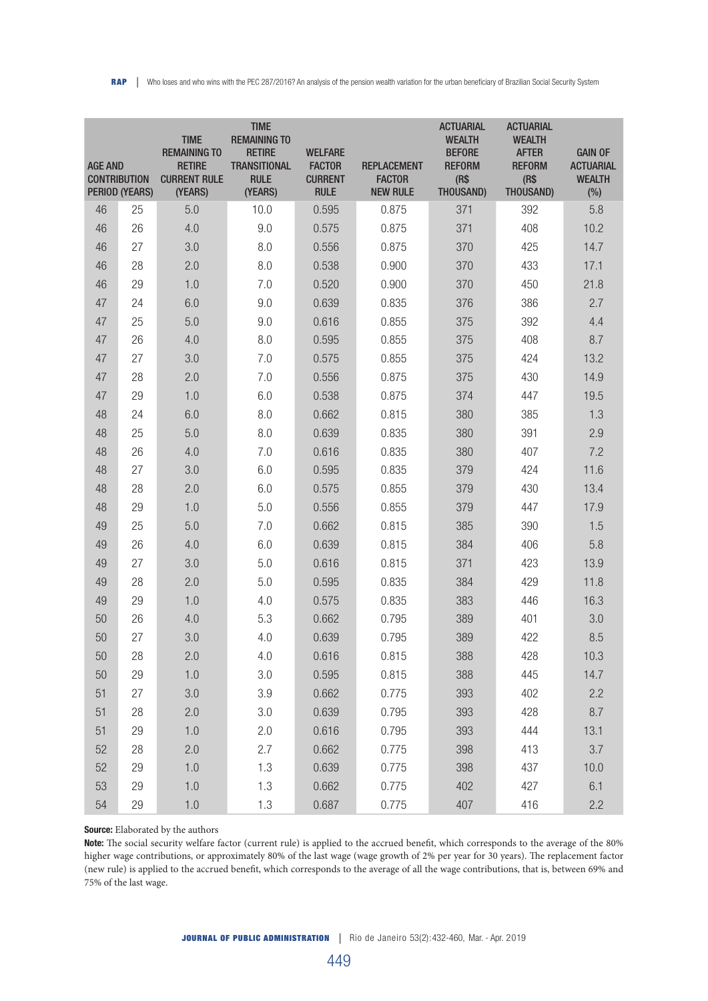| <b>AGE AND</b><br><b>CONTRIBUTION</b> | <b>PERIOD (YEARS)</b> | <b>TIME</b><br><b>REMAINING TO</b><br><b>RETIRE</b><br><b>CURRENT RULE</b><br>(YEARS) | <b>TIME</b><br><b>REMAINING TO</b><br><b>RETIRE</b><br><b>TRANSITIONAL</b><br><b>RULE</b><br>(YEARS) | <b>WELFARE</b><br><b>FACTOR</b><br><b>CURRENT</b><br><b>RULE</b> | <b>REPLACEMENT</b><br><b>FACTOR</b><br><b>NEW RULE</b> | <b>ACTUARIAL</b><br><b>WEALTH</b><br><b>BEFORE</b><br><b>REFORM</b><br>(R\$<br>THOUSAND) | <b>ACTUARIAL</b><br><b>WEALTH</b><br><b>AFTER</b><br><b>REFORM</b><br>(R\$<br>THOUSAND) | <b>GAIN OF</b><br><b>ACTUARIAL</b><br><b>WEALTH</b><br>(%) |
|---------------------------------------|-----------------------|---------------------------------------------------------------------------------------|------------------------------------------------------------------------------------------------------|------------------------------------------------------------------|--------------------------------------------------------|------------------------------------------------------------------------------------------|-----------------------------------------------------------------------------------------|------------------------------------------------------------|
| 46                                    | 25                    | 5.0                                                                                   | 10.0                                                                                                 | 0.595                                                            | 0.875                                                  | 371                                                                                      | 392                                                                                     | 5.8                                                        |
| 46                                    | 26                    | 4.0                                                                                   | 9.0                                                                                                  | 0.575                                                            | 0.875                                                  | 371                                                                                      | 408                                                                                     | 10.2                                                       |
| 46                                    | 27                    | 3.0                                                                                   | 8.0                                                                                                  | 0.556                                                            | 0.875                                                  | 370                                                                                      | 425                                                                                     | 14.7                                                       |
| 46                                    | 28                    | 2.0                                                                                   | 8.0                                                                                                  | 0.538                                                            | 0.900                                                  | 370                                                                                      | 433                                                                                     | 17.1                                                       |
| 46                                    | 29                    | 1.0                                                                                   | 7.0                                                                                                  | 0.520                                                            | 0.900                                                  | 370                                                                                      | 450                                                                                     | 21.8                                                       |
| 47                                    | 24                    | 6.0                                                                                   | 9.0                                                                                                  | 0.639                                                            | 0.835                                                  | 376                                                                                      | 386                                                                                     | 2.7                                                        |
| 47                                    | 25                    | 5.0                                                                                   | 9.0                                                                                                  | 0.616                                                            | 0.855                                                  | 375                                                                                      | 392                                                                                     | 4.4                                                        |
| 47                                    | 26                    | 4.0                                                                                   | 8.0                                                                                                  | 0.595                                                            | 0.855                                                  | 375                                                                                      | 408                                                                                     | 8.7                                                        |
| 47                                    | 27                    | 3.0                                                                                   | 7.0                                                                                                  | 0.575                                                            | 0.855                                                  | 375                                                                                      | 424                                                                                     | 13.2                                                       |
| 47                                    | 28                    | 2.0                                                                                   | 7.0                                                                                                  | 0.556                                                            | 0.875                                                  | 375                                                                                      | 430                                                                                     | 14.9                                                       |
| 47                                    | 29                    | 1.0                                                                                   | 6.0                                                                                                  | 0.538                                                            | 0.875                                                  | 374                                                                                      | 447                                                                                     | 19.5                                                       |
| 48                                    | 24                    | 6.0                                                                                   | 8.0                                                                                                  | 0.662                                                            | 0.815                                                  | 380                                                                                      | 385                                                                                     | 1.3                                                        |
| 48                                    | 25                    | 5.0                                                                                   | 8.0                                                                                                  | 0.639                                                            | 0.835                                                  | 380                                                                                      | 391                                                                                     | 2.9                                                        |
| 48                                    | 26                    | 4.0                                                                                   | 7.0                                                                                                  | 0.616                                                            | 0.835                                                  | 380                                                                                      | 407                                                                                     | 7.2                                                        |
| 48                                    | 27                    | 3.0                                                                                   | 6.0                                                                                                  | 0.595                                                            | 0.835                                                  | 379                                                                                      | 424                                                                                     | 11.6                                                       |
| 48                                    | 28                    | 2.0                                                                                   | 6.0                                                                                                  | 0.575                                                            | 0.855                                                  | 379                                                                                      | 430                                                                                     | 13.4                                                       |
| 48                                    | 29                    | 1.0                                                                                   | 5.0                                                                                                  | 0.556                                                            | 0.855                                                  | 379                                                                                      | 447                                                                                     | 17.9                                                       |
| 49                                    | 25                    | 5.0                                                                                   | 7.0                                                                                                  | 0.662                                                            | 0.815                                                  | 385                                                                                      | 390                                                                                     | 1.5                                                        |
| 49                                    | 26                    | 4.0                                                                                   | 6.0                                                                                                  | 0.639                                                            | 0.815                                                  | 384                                                                                      | 406                                                                                     | 5.8                                                        |
| 49                                    | 27                    | 3.0                                                                                   | 5.0                                                                                                  | 0.616                                                            | 0.815                                                  | 371                                                                                      | 423                                                                                     | 13.9                                                       |
| 49                                    | 28                    | 2.0                                                                                   | 5.0                                                                                                  | 0.595                                                            | 0.835                                                  | 384                                                                                      | 429                                                                                     | 11.8                                                       |
| 49                                    | 29                    | 1.0                                                                                   | 4.0                                                                                                  | 0.575                                                            | 0.835                                                  | 383                                                                                      | 446                                                                                     | 16.3                                                       |
| 50                                    | 26                    | 4.0                                                                                   | 5.3                                                                                                  | 0.662                                                            | 0.795                                                  | 389                                                                                      | 401                                                                                     | 3.0                                                        |
| 50                                    | 27                    | 3.0                                                                                   | 4.0                                                                                                  | 0.639                                                            | 0.795                                                  | 389                                                                                      | 422                                                                                     | 8.5                                                        |
| 50                                    | 28                    | 2.0                                                                                   | 4.0                                                                                                  | 0.616                                                            | 0.815                                                  | 388                                                                                      | 428                                                                                     | 10.3                                                       |
| 50                                    | 29                    | 1.0                                                                                   | 3.0                                                                                                  | 0.595                                                            | 0.815                                                  | 388                                                                                      | 445                                                                                     | 14.7                                                       |
| 51                                    | 27                    | 3.0                                                                                   | 3.9                                                                                                  | 0.662                                                            | 0.775                                                  | 393                                                                                      | 402                                                                                     | 2.2                                                        |
| 51                                    | 28                    | 2.0                                                                                   | 3.0                                                                                                  | 0.639                                                            | 0.795                                                  | 393                                                                                      | 428                                                                                     | 8.7                                                        |
| 51                                    | 29                    | 1.0                                                                                   | 2.0                                                                                                  | 0.616                                                            | 0.795                                                  | 393                                                                                      | 444                                                                                     | 13.1                                                       |
| 52                                    | 28                    | 2.0                                                                                   | 2.7                                                                                                  | 0.662                                                            | 0.775                                                  | 398                                                                                      | 413                                                                                     | 3.7                                                        |
| 52                                    | 29                    | 1.0                                                                                   | 1.3                                                                                                  | 0.639                                                            | 0.775                                                  | 398                                                                                      | 437                                                                                     | 10.0                                                       |
| 53                                    | 29                    | 1.0                                                                                   | 1.3                                                                                                  | 0.662                                                            | 0.775                                                  | 402                                                                                      | 427                                                                                     | 6.1                                                        |
| 54                                    | 29                    | $1.0\,$                                                                               | 1.3                                                                                                  | 0.687                                                            | 0.775                                                  | 407                                                                                      | 416                                                                                     | 2.2                                                        |

#### Source: Elaborated by the authors

Note: The social security welfare factor (current rule) is applied to the accrued benefit, which corresponds to the average of the 80% higher wage contributions, or approximately 80% of the last wage (wage growth of 2% per year for 30 years). The replacement factor (new rule) is applied to the accrued benefit, which corresponds to the average of all the wage contributions, that is, between 69% and 75% of the last wage.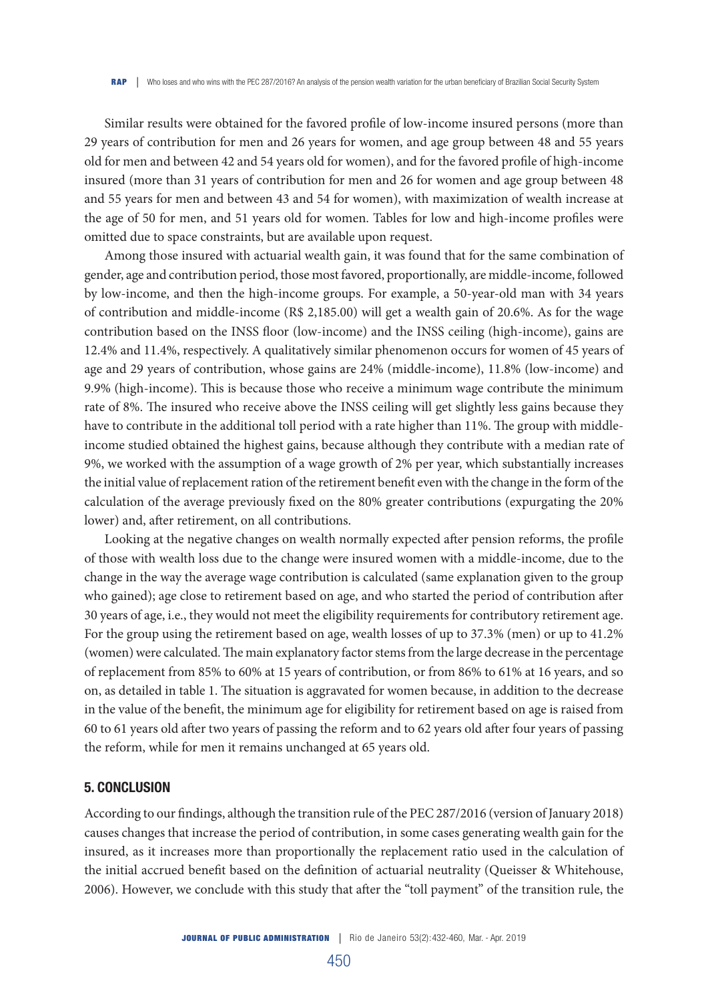Similar results were obtained for the favored profile of low-income insured persons (more than 29 years of contribution for men and 26 years for women, and age group between 48 and 55 years old for men and between 42 and 54 years old for women), and for the favored profile of high-income insured (more than 31 years of contribution for men and 26 for women and age group between 48 and 55 years for men and between 43 and 54 for women), with maximization of wealth increase at the age of 50 for men, and 51 years old for women. Tables for low and high-income profiles were omitted due to space constraints, but are available upon request.

Among those insured with actuarial wealth gain, it was found that for the same combination of gender, age and contribution period, those most favored, proportionally, are middle-income, followed by low-income, and then the high-income groups. For example, a 50-year-old man with 34 years of contribution and middle-income (R\$ 2,185.00) will get a wealth gain of 20.6%. As for the wage contribution based on the INSS floor (low-income) and the INSS ceiling (high-income), gains are 12.4% and 11.4%, respectively. A qualitatively similar phenomenon occurs for women of 45 years of age and 29 years of contribution, whose gains are 24% (middle-income), 11.8% (low-income) and 9.9% (high-income). This is because those who receive a minimum wage contribute the minimum rate of 8%. The insured who receive above the INSS ceiling will get slightly less gains because they have to contribute in the additional toll period with a rate higher than 11%. The group with middleincome studied obtained the highest gains, because although they contribute with a median rate of 9%, we worked with the assumption of a wage growth of 2% per year, which substantially increases the initial value of replacement ration of the retirement benefit even with the change in the form of the calculation of the average previously fixed on the 80% greater contributions (expurgating the 20% lower) and, after retirement, on all contributions.

Looking at the negative changes on wealth normally expected after pension reforms, the profile of those with wealth loss due to the change were insured women with a middle-income, due to the change in the way the average wage contribution is calculated (same explanation given to the group who gained); age close to retirement based on age, and who started the period of contribution after 30 years of age, i.e., they would not meet the eligibility requirements for contributory retirement age. For the group using the retirement based on age, wealth losses of up to 37.3% (men) or up to 41.2% (women) were calculated. The main explanatory factor stems from the large decrease in the percentage of replacement from 85% to 60% at 15 years of contribution, or from 86% to 61% at 16 years, and so on, as detailed in table 1. The situation is aggravated for women because, in addition to the decrease in the value of the benefit, the minimum age for eligibility for retirement based on age is raised from 60 to 61 years old after two years of passing the reform and to 62 years old after four years of passing the reform, while for men it remains unchanged at 65 years old.

#### 5. CONCLUSION

According to our findings, although the transition rule of the PEC 287/2016 (version of January 2018) causes changes that increase the period of contribution, in some cases generating wealth gain for the insured, as it increases more than proportionally the replacement ratio used in the calculation of the initial accrued benefit based on the definition of actuarial neutrality (Queisser & Whitehouse, 2006). However, we conclude with this study that after the "toll payment" of the transition rule, the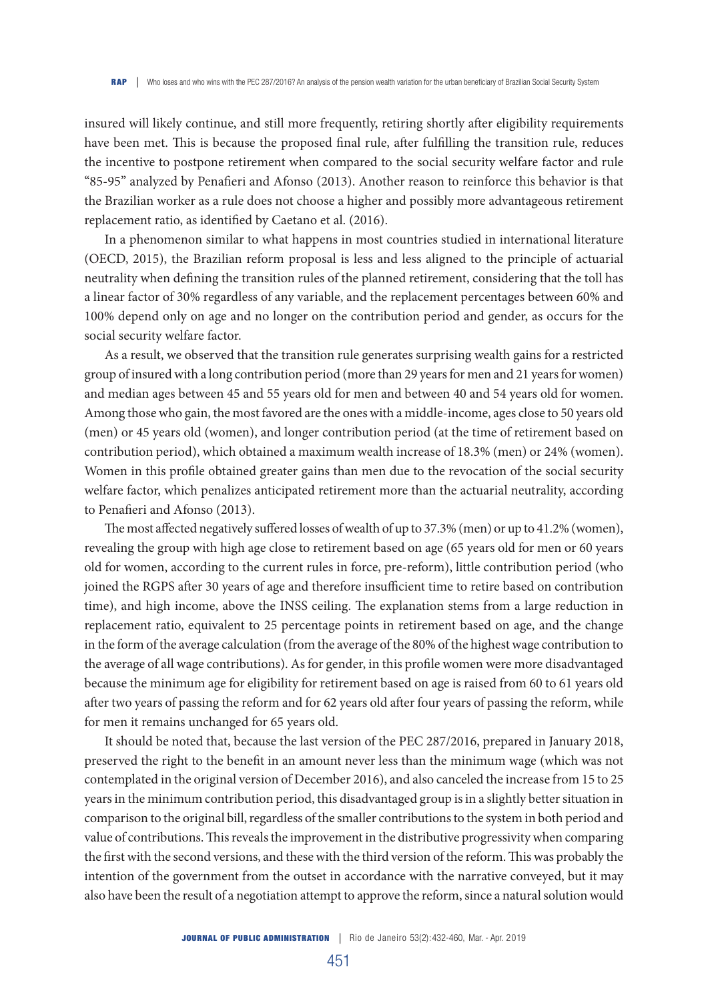insured will likely continue, and still more frequently, retiring shortly after eligibility requirements have been met. This is because the proposed final rule, after fulfilling the transition rule, reduces the incentive to postpone retirement when compared to the social security welfare factor and rule "85-95" analyzed by Penafieri and Afonso (2013). Another reason to reinforce this behavior is that the Brazilian worker as a rule does not choose a higher and possibly more advantageous retirement replacement ratio, as identified by Caetano et al. (2016).

In a phenomenon similar to what happens in most countries studied in international literature (OECD, 2015), the Brazilian reform proposal is less and less aligned to the principle of actuarial neutrality when defining the transition rules of the planned retirement, considering that the toll has a linear factor of 30% regardless of any variable, and the replacement percentages between 60% and 100% depend only on age and no longer on the contribution period and gender, as occurs for the social security welfare factor.

As a result, we observed that the transition rule generates surprising wealth gains for a restricted group of insured with a long contribution period (more than 29 years for men and 21 years for women) and median ages between 45 and 55 years old for men and between 40 and 54 years old for women. Among those who gain, the most favored are the ones with a middle-income, ages close to 50 years old (men) or 45 years old (women), and longer contribution period (at the time of retirement based on contribution period), which obtained a maximum wealth increase of 18.3% (men) or 24% (women). Women in this profile obtained greater gains than men due to the revocation of the social security welfare factor, which penalizes anticipated retirement more than the actuarial neutrality, according to Penafieri and Afonso (2013).

The most affected negatively suffered losses of wealth of up to 37.3% (men) or up to 41.2% (women), revealing the group with high age close to retirement based on age (65 years old for men or 60 years old for women, according to the current rules in force, pre-reform), little contribution period (who joined the RGPS after 30 years of age and therefore insufficient time to retire based on contribution time), and high income, above the INSS ceiling. The explanation stems from a large reduction in replacement ratio, equivalent to 25 percentage points in retirement based on age, and the change in the form of the average calculation (from the average of the 80% of the highest wage contribution to the average of all wage contributions). As for gender, in this profile women were more disadvantaged because the minimum age for eligibility for retirement based on age is raised from 60 to 61 years old after two years of passing the reform and for 62 years old after four years of passing the reform, while for men it remains unchanged for 65 years old.

It should be noted that, because the last version of the PEC 287/2016, prepared in January 2018, preserved the right to the benefit in an amount never less than the minimum wage (which was not contemplated in the original version of December 2016), and also canceled the increase from 15 to 25 years in the minimum contribution period, this disadvantaged group is in a slightly better situation in comparison to the original bill, regardless of the smaller contributions to the system in both period and value of contributions. This reveals the improvement in the distributive progressivity when comparing the first with the second versions, and these with the third version of the reform. This was probably the intention of the government from the outset in accordance with the narrative conveyed, but it may also have been the result of a negotiation attempt to approve the reform, since a natural solution would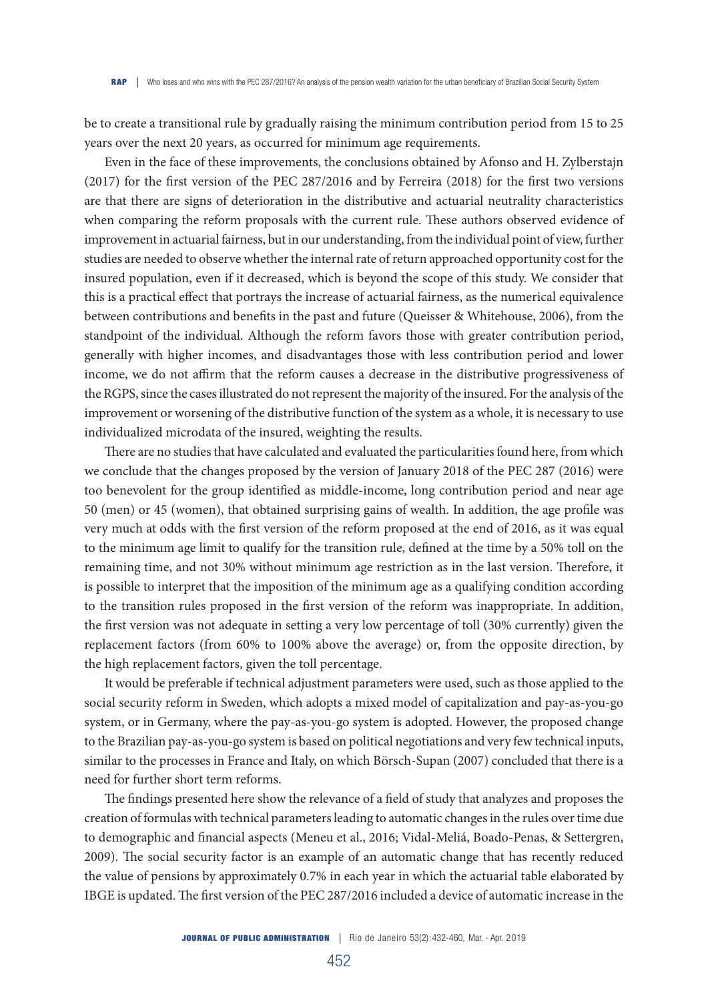be to create a transitional rule by gradually raising the minimum contribution period from 15 to 25 years over the next 20 years, as occurred for minimum age requirements.

Even in the face of these improvements, the conclusions obtained by Afonso and H. Zylberstajn (2017) for the first version of the PEC 287/2016 and by Ferreira (2018) for the first two versions are that there are signs of deterioration in the distributive and actuarial neutrality characteristics when comparing the reform proposals with the current rule. These authors observed evidence of improvement in actuarial fairness, but in our understanding, from the individual point of view, further studies are needed to observe whether the internal rate of return approached opportunity cost for the insured population, even if it decreased, which is beyond the scope of this study. We consider that this is a practical effect that portrays the increase of actuarial fairness, as the numerical equivalence between contributions and benefits in the past and future (Queisser & Whitehouse, 2006), from the standpoint of the individual. Although the reform favors those with greater contribution period, generally with higher incomes, and disadvantages those with less contribution period and lower income, we do not affirm that the reform causes a decrease in the distributive progressiveness of the RGPS, since the cases illustrated do not represent the majority of the insured. For the analysis of the improvement or worsening of the distributive function of the system as a whole, it is necessary to use individualized microdata of the insured, weighting the results.

There are no studies that have calculated and evaluated the particularities found here, from which we conclude that the changes proposed by the version of January 2018 of the PEC 287 (2016) were too benevolent for the group identified as middle-income, long contribution period and near age 50 (men) or 45 (women), that obtained surprising gains of wealth. In addition, the age profile was very much at odds with the first version of the reform proposed at the end of 2016, as it was equal to the minimum age limit to qualify for the transition rule, defined at the time by a 50% toll on the remaining time, and not 30% without minimum age restriction as in the last version. Therefore, it is possible to interpret that the imposition of the minimum age as a qualifying condition according to the transition rules proposed in the first version of the reform was inappropriate. In addition, the first version was not adequate in setting a very low percentage of toll (30% currently) given the replacement factors (from 60% to 100% above the average) or, from the opposite direction, by the high replacement factors, given the toll percentage.

It would be preferable if technical adjustment parameters were used, such as those applied to the social security reform in Sweden, which adopts a mixed model of capitalization and pay-as-you-go system, or in Germany, where the pay-as-you-go system is adopted. However, the proposed change to the Brazilian pay-as-you-go system is based on political negotiations and very few technical inputs, similar to the processes in France and Italy, on which Börsch-Supan (2007) concluded that there is a need for further short term reforms.

The findings presented here show the relevance of a field of study that analyzes and proposes the creation of formulas with technical parameters leading to automatic changes in the rules over time due to demographic and financial aspects (Meneu et al., 2016; Vidal-Meliá, Boado-Penas, & Settergren, 2009). The social security factor is an example of an automatic change that has recently reduced the value of pensions by approximately 0.7% in each year in which the actuarial table elaborated by IBGE is updated. The first version of the PEC 287/2016 included a device of automatic increase in the

452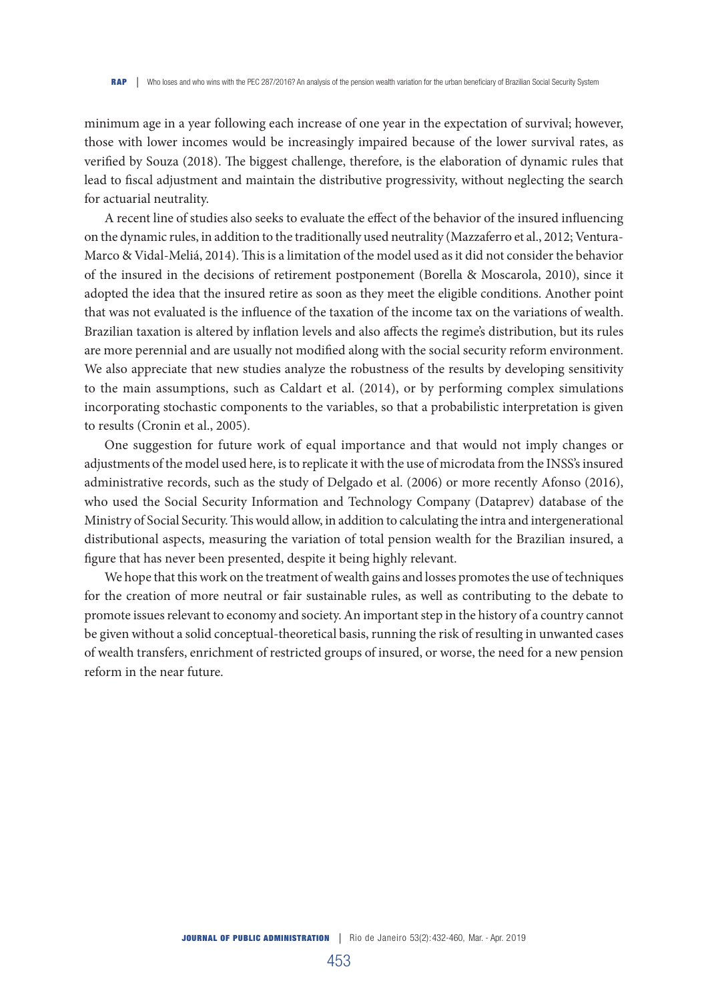minimum age in a year following each increase of one year in the expectation of survival; however, those with lower incomes would be increasingly impaired because of the lower survival rates, as verified by Souza (2018). The biggest challenge, therefore, is the elaboration of dynamic rules that lead to fiscal adjustment and maintain the distributive progressivity, without neglecting the search for actuarial neutrality.

A recent line of studies also seeks to evaluate the effect of the behavior of the insured influencing on the dynamic rules, in addition to the traditionally used neutrality (Mazzaferro et al., 2012; Ventura-Marco & Vidal-Meliá, 2014). This is a limitation of the model used as it did not consider the behavior of the insured in the decisions of retirement postponement (Borella & Moscarola, 2010), since it adopted the idea that the insured retire as soon as they meet the eligible conditions. Another point that was not evaluated is the influence of the taxation of the income tax on the variations of wealth. Brazilian taxation is altered by inflation levels and also affects the regime's distribution, but its rules are more perennial and are usually not modified along with the social security reform environment. We also appreciate that new studies analyze the robustness of the results by developing sensitivity to the main assumptions, such as Caldart et al. (2014), or by performing complex simulations incorporating stochastic components to the variables, so that a probabilistic interpretation is given to results (Cronin et al., 2005).

One suggestion for future work of equal importance and that would not imply changes or adjustments of the model used here, is to replicate it with the use of microdata from the INSS's insured administrative records, such as the study of Delgado et al. (2006) or more recently Afonso (2016), who used the Social Security Information and Technology Company (Dataprev) database of the Ministry of Social Security. This would allow, in addition to calculating the intra and intergenerational distributional aspects, measuring the variation of total pension wealth for the Brazilian insured, a figure that has never been presented, despite it being highly relevant.

We hope that this work on the treatment of wealth gains and losses promotes the use of techniques for the creation of more neutral or fair sustainable rules, as well as contributing to the debate to promote issues relevant to economy and society. An important step in the history of a country cannot be given without a solid conceptual-theoretical basis, running the risk of resulting in unwanted cases of wealth transfers, enrichment of restricted groups of insured, or worse, the need for a new pension reform in the near future.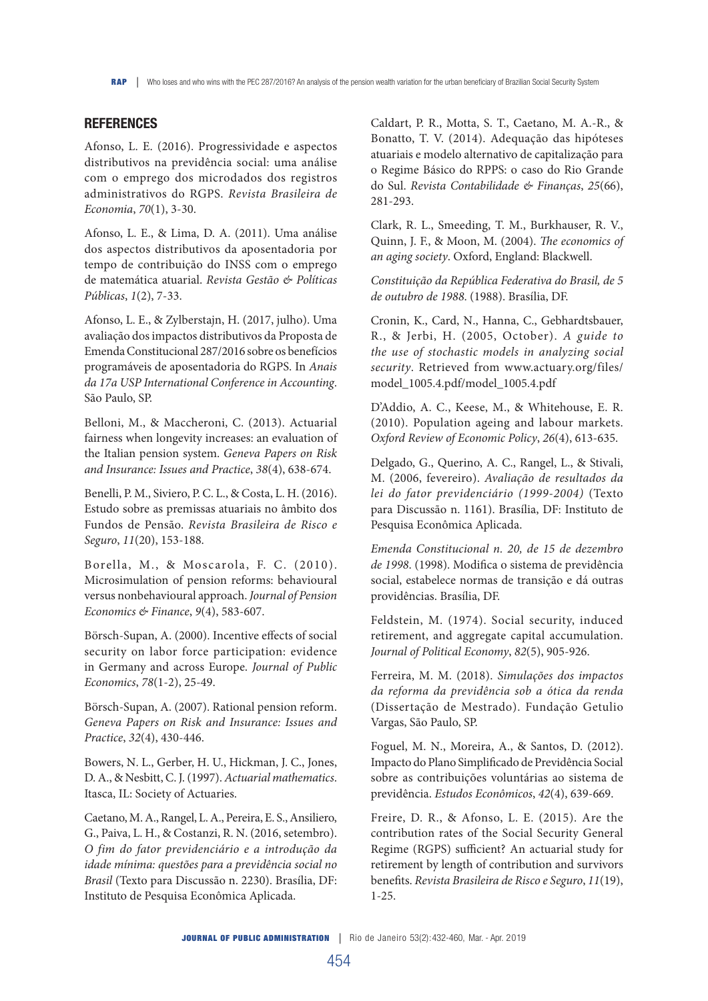## **REFERENCES**

Afonso, L. E. (2016). Progressividade e aspectos distributivos na previdência social: uma análise com o emprego dos microdados dos registros administrativos do RGPS. *Revista Brasileira de Economia*, *70*(1), 3-30.

Afonso, L. E., & Lima, D. A. (2011). Uma análise dos aspectos distributivos da aposentadoria por tempo de contribuição do INSS com o emprego de matemática atuarial. *Revista Gestão & Políticas Públicas*, *1*(2), 7-33.

Afonso, L. E., & Zylberstajn, H. (2017, julho). Uma avaliação dos impactos distributivos da Proposta de Emenda Constitucional 287/2016 sobre os benefícios programáveis de aposentadoria do RGPS. In *Anais da 17a USP International Conference in Accounting*. São Paulo, SP.

Belloni, M., & Maccheroni, C. (2013). Actuarial fairness when longevity increases: an evaluation of the Italian pension system. *Geneva Papers on Risk and Insurance: Issues and Practice*, *38*(4), 638-674.

Benelli, P. M., Siviero, P. C. L., & Costa, L. H. (2016). Estudo sobre as premissas atuariais no âmbito dos Fundos de Pensão. *Revista Brasileira de Risco e Seguro*, *11*(20), 153-188.

B orella, M., & Moscarola, F. C. (2010). Microsimulation of pension reforms: behavioural versus nonbehavioural approach. *Journal of Pension Economics & Finance*, *9*(4), 583-607.

Börsch-Supan, A. (2000). Incentive effects of social security on labor force participation: evidence in Germany and across Europe. *Journal of Public Economics*, *78*(1-2), 25-49.

Börsch-Supan, A. (2007). Rational pension reform. *Geneva Papers on Risk and Insurance: Issues and Practice*, *32*(4), 430-446.

Bowers, N. L., Gerber, H. U., Hickman, J. C., Jones, D. A., & Nesbitt, C. J. (1997). *Actuarial mathematics*. Itasca, IL: Society of Actuaries.

Caetano, M. A., Rangel, L. A., Pereira, E. S., Ansiliero, G., Paiva, L. H., & Costanzi, R. N. (2016, setembro). *O fim do fator previdenciário e a introdução da idade mínima: questões para a previdência social no Brasil* (Texto para Discussão n. 2230). Brasília, DF: Instituto de Pesquisa Econômica Aplicada.

Caldart, P. R., Motta, S. T., Caetano, M. A.-R., & Bonatto, T. V. (2014). Adequação das hipóteses atuariais e modelo alternativo de capitalização para o Regime Básico do RPPS: o caso do Rio Grande do Sul. *Revista Contabilidade & Finanças*, *25*(66), 281-293.

Clark, R. L., Smeeding, T. M., Burkhauser, R. V., Quinn, J. F., & Moon, M. (2004). *The economics of an aging society*. Oxford, England: Blackwell.

*Constituição da República Federativa do Brasil, de 5 de outubro de 1988*. (1988). Brasília, DF.

Cronin, K., Card, N., Hanna, C., Gebhardtsbauer, R., & Jerbi, H. (2005, October). *A guide to the use of stochastic models in analyzing social security*. Retrieved from www.actuary.org/files/ model\_1005.4.pdf/model\_1005.4.pdf

D'Addio, A. C., Keese, M., & Whitehouse, E. R. (2010). Population ageing and labour markets. *Oxford Review of Economic Policy*, *26*(4), 613-635.

Delgado, G., Querino, A. C., Rangel, L., & Stivali, M. (2006, fevereiro). *Avaliação de resultados da lei do fator previdenciário (1999-2004)* (Texto para Discussão n. 1161). Brasília, DF: Instituto de Pesquisa Econômica Aplicada.

*Emenda Constitucional n. 20, de 15 de dezembro de 1998*. (1998). Modifica o sistema de previdência social, estabelece normas de transição e dá outras providências. Brasília, DF.

Feldstein, M. (1974). Social security, induced retirement, and aggregate capital accumulation. *Journal of Political Economy*, *82*(5), 905-926.

Ferreira, M. M. (2018). *Simulações dos impactos da reforma da previdência sob a ótica da renda* (Dissertação de Mestrado). Fundação Getulio Vargas, São Paulo, SP.

Foguel, M. N., Moreira, A., & Santos, D. (2012). Impacto do Plano Simplificado de Previdência Social sobre as contribuições voluntárias ao sistema de previdência. *Estudos Econômicos*, *42*(4), 639-669.

Freire, D. R., & Afonso, L. E. (2015). Are the contribution rates of the Social Security General Regime (RGPS) sufficient? An actuarial study for retirement by length of contribution and survivors benefits. *Revista Brasileira de Risco e Seguro*, *11*(19), 1-25.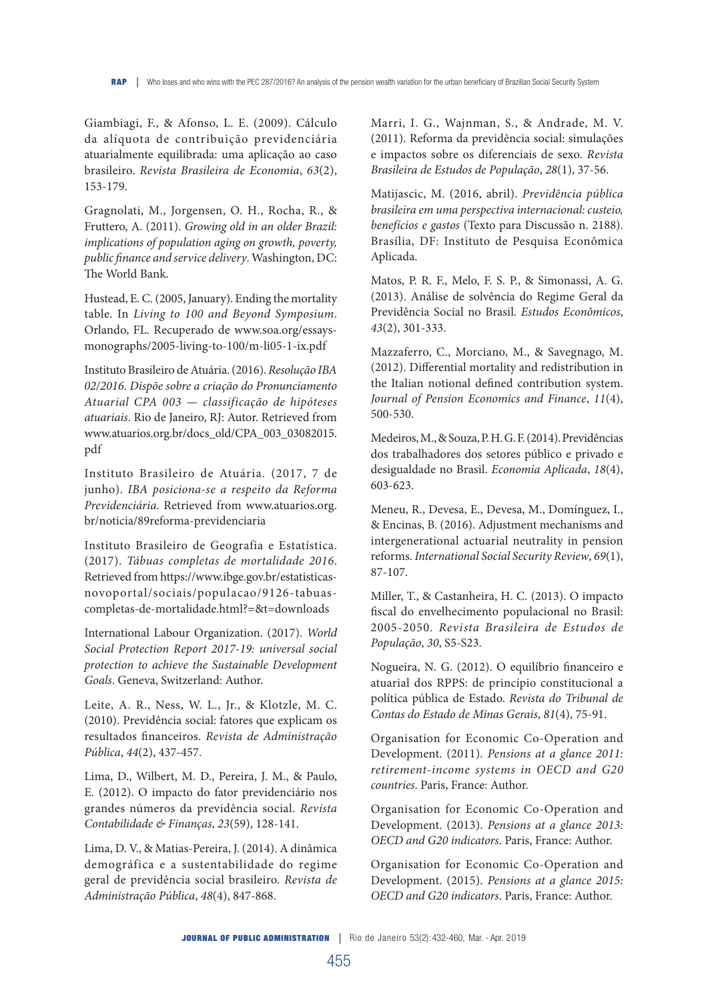Giambiagi, F., & Afonso, L. E. (2009). Cálculo da alíquota de contribuição previdenciária atuarialmente equilibrada: uma aplicação ao caso brasileiro. *Revista Brasileira de Economia*, *63*(2), 153-179.

Gragnolati, M., Jorgensen, O. H., Rocha, R., & Fruttero, A. (2011). *Growing old in an older Brazil: implications of population aging on growth, poverty, public finance and service delivery*. Washington, DC: The World Bank.

Hustead, E. C. (2005, January). Ending the mortality table. In *Living to 100 and Beyond Symposium*. Orlando, FL. Recuperado de www.soa.org/essaysmonographs/2005-living-to-100/m-li05-1-ix.pdf

Instituto Brasileiro de Atuária. (2016). *Resolução IBA 02/2016. Dispõe sobre a criação do Pronunciamento Atuarial CPA 003 — classificação de hipóteses atuariais*. Rio de Janeiro, RJ: Autor. Retrieved from www.atuarios.org.br/docs\_old/CPA\_003\_03082015. pdf

Instituto Brasileiro de Atuária. (2017, 7 de junho). *IBA posiciona-se a respeito da Reforma Previdenciária*. Retrieved from www.atuarios.org. br/noticia/89reforma-previdenciaria

Instituto Brasileiro de Geografia e Estatística. (2017). *Tábuas completas de mortalidade 2016*. Retrieved from https://www.ibge.gov.br/estatisticasnovoportal/sociais/populacao/9126-tabuascompletas-de-mortalidade.html?=&t=downloads

International Labour Organization. (2017). *World Social Protection Report 2017-19: universal social protection to achieve the Sustainable Development Goals*. Geneva, Switzerland: Author.

Leite, A. R., Ness, W. L., Jr., & Klotzle, M. C. (2010). Previdência social: fatores que explicam os resultados financeiros. *Revista de Administração Pública*, *44*(2), 437-457.

Lima, D., Wilbert, M. D., Pereira, J. M., & Paulo, E. (2012). O impacto do fator previdenciário nos grandes números da previdência social. *Revista Contabilidade & Finanças*, *23*(59), 128-141.

Lima, D. V., & Matias-Pereira, J. (2014). A dinâmica demográfica e a sustentabilidade do regime geral de previdência social brasileiro. *Revista de Administração Pública*, *48*(4), 847-868.

Marri, I. G., Wajnman, S., & Andrade, M. V. (2011). Reforma da previdência social: simulações e impactos sobre os diferenciais de sexo. *Revista Brasileira de Estudos de População*, *28*(1), 37-56.

Matijascic, M. (2016, abril). *Previdência pública brasileira em uma perspectiva internacional: custeio, benefícios e gastos* (Texto para Discussão n. 2188). Brasília, DF: Instituto de Pesquisa Econômica Aplicada.

Matos, P. R. F., Melo, F. S. P., & Simonassi, A. G. (2013). Análise de solvência do Regime Geral da Previdência Social no Brasil. *Estudos Econômicos*, *43*(2), 301-333.

Mazzaferro, C., Morciano, M., & Savegnago, M. (2012). Differential mortality and redistribution in the Italian notional defined contribution system. *Journal of Pension Economics and Finance*, *11*(4), 500-530.

Medeiros, M., & Souza, P. H. G. F. (2014). Previdências dos trabalhadores dos setores público e privado e desigualdade no Brasil. *Economia Aplicada*, *18*(4), 603-623.

Meneu, R., Devesa, E., Devesa, M., Domínguez, I., & Encinas, B. (2016). Adjustment mechanisms and intergenerational actuarial neutrality in pension reforms. *International Social Security Review*, *69*(1), 87-107.

Miller, T., & Castanheira, H. C. (2013). O impacto fiscal do envelhecimento populacional no Brasil: 2005-2050. *Revista Brasileira de Estudos de População*, *30*, S5-S23.

Nogueira, N. G. (2012). O equilíbrio financeiro e atuarial dos RPPS: de princípio constitucional a política pública de Estado. *Revista do Tribunal de Contas do Estado de Minas Gerais*, *81*(4), 75-91.

Organisation for Economic Co-Operation and Development. (2011). *Pensions at a glance 2011: retirement-income systems in OECD and G20 countries*. Paris, France: Author.

Organisation for Economic Co-Operation and Development. (2013). *Pensions at a glance 2013: OECD and G20 indicators*. Paris, France: Author.

Organisation for Economic Co-Operation and Development. (2015). *Pensions at a glance 2015: OECD and G20 indicators*. Paris, France: Author.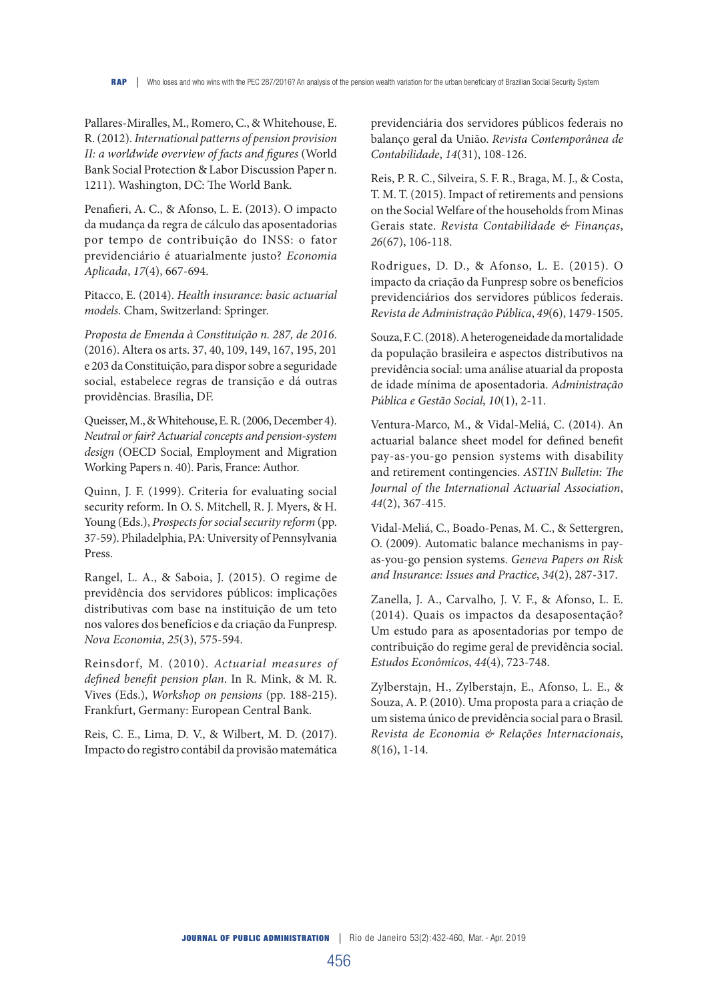Pallares-Miralles, M., Romero, C., & Whitehouse, E. R. (2012). *International patterns of pension provision II: a worldwide overview of facts and figures* (World Bank Social Protection & Labor Discussion Paper n. 1211). Washington, DC: The World Bank.

Penafieri, A. C., & Afonso, L. E. (2013). O impacto da mudança da regra de cálculo das aposentadorias por tempo de contribuição do INSS: o fator previdenciário é atuarialmente justo? *Economia Aplicada*, *17*(4), 667-694.

Pitacco, E. (2014). *Health insurance: basic actuarial models*. Cham, Switzerland: Springer.

*Proposta de Emenda à Constituição n. 287, de 2016*. (2016). Altera os arts. 37, 40, 109, 149, 167, 195, 201 e 203 da Constituição, para dispor sobre a seguridade social, estabelece regras de transição e dá outras providências. Brasília, DF.

Queisser, M., & Whitehouse, E. R. (2006, December 4). *Neutral or fair? Actuarial concepts and pension-system design* (OECD Social, Employment and Migration Working Papers n. 40). Paris, France: Author.

Quinn, J. F. (1999). Criteria for evaluating social security reform. In O. S. Mitchell, R. J. Myers, & H. Young (Eds.), *Prospects for social security reform* (pp. 37-59). Philadelphia, PA: University of Pennsylvania Press.

Rangel, L. A., & Saboia, J. (2015). O regime de previdência dos servidores públicos: implicações distributivas com base na instituição de um teto nos valores dos benefícios e da criação da Funpresp. *Nova Economia*, *25*(3), 575-594.

Reinsdorf, M. (2010). *Actuarial measures of defined benefit pension plan*. In R. Mink, & M. R. Vives (Eds.), *Workshop on pensions* (pp. 188-215). Frankfurt, Germany: European Central Bank.

Reis, C. E., Lima, D. V., & Wilbert, M. D. (2017). Impacto do registro contábil da provisão matemática previdenciária dos servidores públicos federais no balanço geral da União. *Revista Contemporânea de Contabilidade*, *14*(31), 108-126.

Reis, P. R. C., Silveira, S. F. R., Braga, M. J., & Costa, T. M. T. (2015). Impact of retirements and pensions on the Social Welfare of the households from Minas Gerais state. *Revista Contabilidade & Finanças*, *26*(67), 106-118.

Rodrigues, D. D., & Afonso, L. E. (2015). O impacto da criação da Funpresp sobre os benefícios previdenciários dos servidores públicos federais. *Revista de Administração Pública*, *49*(6), 1479-1505.

Souza, F. C. (2018). A heterogeneidade da mortalidade da população brasileira e aspectos distributivos na previdência social: uma análise atuarial da proposta de idade mínima de aposentadoria. *Administração Pública e Gestão Social*, *10*(1), 2-11.

Ventura-Marco, M., & Vidal-Meliá, C. (2014). An actuarial balance sheet model for defined benefit pay-as-you-go pension systems with disability and retirement contingencies. *ASTIN Bulletin: The Journal of the International Actuarial Association*, *44*(2), 367-415.

Vidal-Meliá, C., Boado-Penas, M. C., & Settergren, O. (2009). Automatic balance mechanisms in payas-you-go pension systems. *Geneva Papers on Risk and Insurance: Issues and Practice*, *34*(2), 287-317.

Zanella, J. A., Carvalho, J. V. F., & Afonso, L. E. (2014). Quais os impactos da desaposentação? Um estudo para as aposentadorias por tempo de contribuição do regime geral de previdência social. *Estudos Econômicos*, *44*(4), 723-748.

Zylberstajn, H., Zylberstajn, E., Afonso, L. E., & Souza, A. P. (2010). Uma proposta para a criação de um sistema único de previdência social para o Brasil. *Revista de Economia & Relações Internacionais*, *8*(16), 1-14.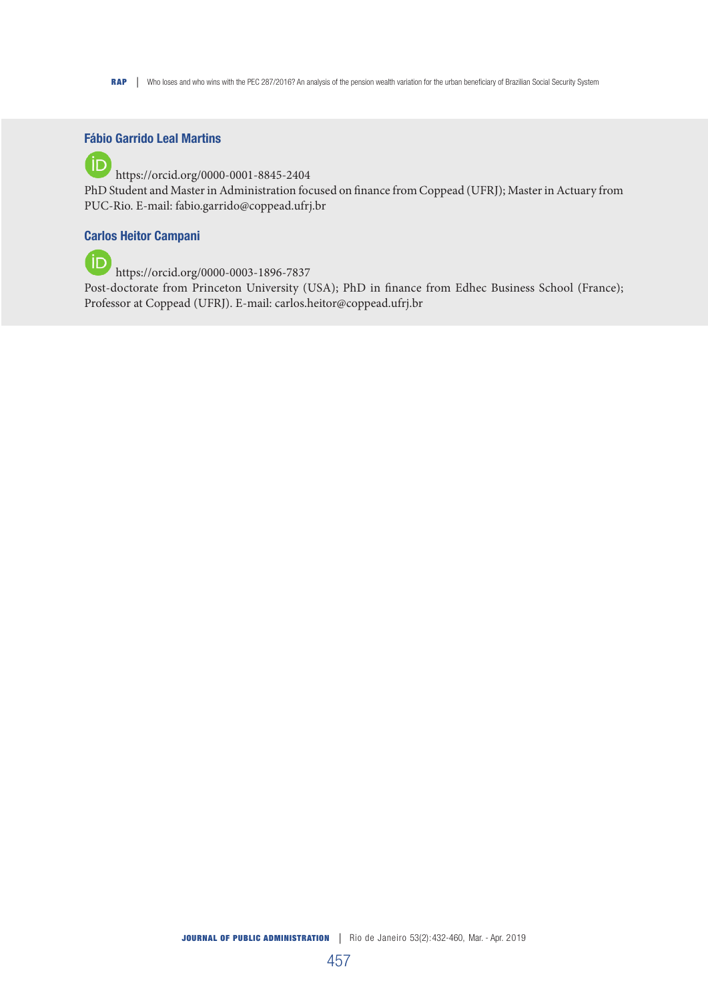RAP | Who loses and who wins with the PEC 287/2016? An analysis of the pension wealth variation for the urban beneficiary of Brazilian Social Security System

## Fábio Garrido Leal Martins

(iD https://orcid.org/0000-0001-8845-2404 PhD Student and Master in Administration focused on finance from Coppead (UFRJ); Master in Actuary from PUC-Rio. E-mail: fabio.garrido@coppead.ufrj.br

## Carlos Heitor Campani

**https://orcid.org/0000-0003-1896-7837** 

Post-doctorate from Princeton University (USA); PhD in finance from Edhec Business School (France); Professor at Coppead (UFRJ). E-mail: carlos.heitor@coppead.ufrj.br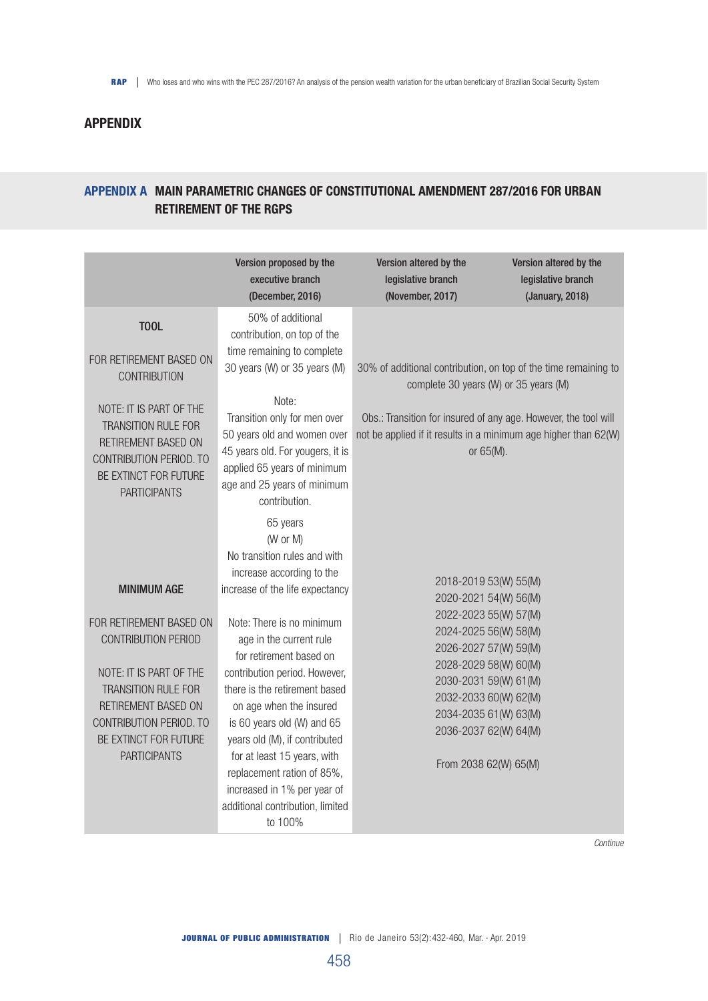# APPENDIX

# APPENDIX A MAIN PARAMETRIC CHANGES OF CONSTITUTIONAL AMENDMENT 287/2016 FOR URBAN RETIREMENT OF THE RGPS

|                                                                                                                                                                                                                                        | Version proposed by the<br>executive branch<br>(December, 2016)                                                                                                                                                                                                                                                                                                                                                                                                                                     | Version altered by the<br>legislative branch<br>(November, 2017)                                                                                                                                                                                                                | Version altered by the<br>legislative branch<br>(January, 2018) |
|----------------------------------------------------------------------------------------------------------------------------------------------------------------------------------------------------------------------------------------|-----------------------------------------------------------------------------------------------------------------------------------------------------------------------------------------------------------------------------------------------------------------------------------------------------------------------------------------------------------------------------------------------------------------------------------------------------------------------------------------------------|---------------------------------------------------------------------------------------------------------------------------------------------------------------------------------------------------------------------------------------------------------------------------------|-----------------------------------------------------------------|
| <b>T00L</b><br>FOR RETIREMENT BASED ON<br><b>CONTRIBUTION</b><br>NOTE: IT IS PART OF THE<br>TRANSITION RULE FOR<br>RETIREMENT BASED ON<br>CONTRIBUTION PERIOD. TO<br>BE EXTINCT FOR FUTURE<br><b>PARTICIPANTS</b>                      | 50% of additional<br>contribution, on top of the<br>time remaining to complete<br>30 years (W) or 35 years (M)<br>Note:<br>Transition only for men over<br>50 years old and women over<br>45 years old. For yougers, it is<br>applied 65 years of minimum<br>age and 25 years of minimum<br>contribution.                                                                                                                                                                                           | 30% of additional contribution, on top of the time remaining to<br>complete 30 years (W) or 35 years (M)<br>Obs.: Transition for insured of any age. However, the tool will<br>not be applied if it results in a minimum age higher than 62(W)<br>or 65(M).                     |                                                                 |
| <b>MINIMUM AGE</b><br>FOR RETIREMENT BASED ON<br>CONTRIBUTION PERIOD<br>NOTE: IT IS PART OF THE<br><b>TRANSITION RULE FOR</b><br><b>RETIREMENT BASED ON</b><br>CONTRIBUTION PERIOD. TO<br>BE EXTINCT FOR FUTURE<br><b>PARTICIPANTS</b> | 65 years<br>(W or M)<br>No transition rules and with<br>increase according to the<br>increase of the life expectancy<br>Note: There is no minimum<br>age in the current rule<br>for retirement based on<br>contribution period. However,<br>there is the retirement based<br>on age when the insured<br>is 60 years old (W) and 65<br>years old (M), if contributed<br>for at least 15 years, with<br>replacement ration of 85%,<br>increased in 1% per year of<br>additional contribution, limited | 2018-2019 53(W) 55(M)<br>2020-2021 54(W) 56(M)<br>2022-2023 55(W) 57(M)<br>2024-2025 56(W) 58(M)<br>2026-2027 57(W) 59(M)<br>2028-2029 58(W) 60(M)<br>2030-2031 59(W) 61(M)<br>2032-2033 60(W) 62(M)<br>2034-2035 61(W) 63(M)<br>2036-2037 62(W) 64(M)<br>From 2038 62(W) 65(M) |                                                                 |

*Continue*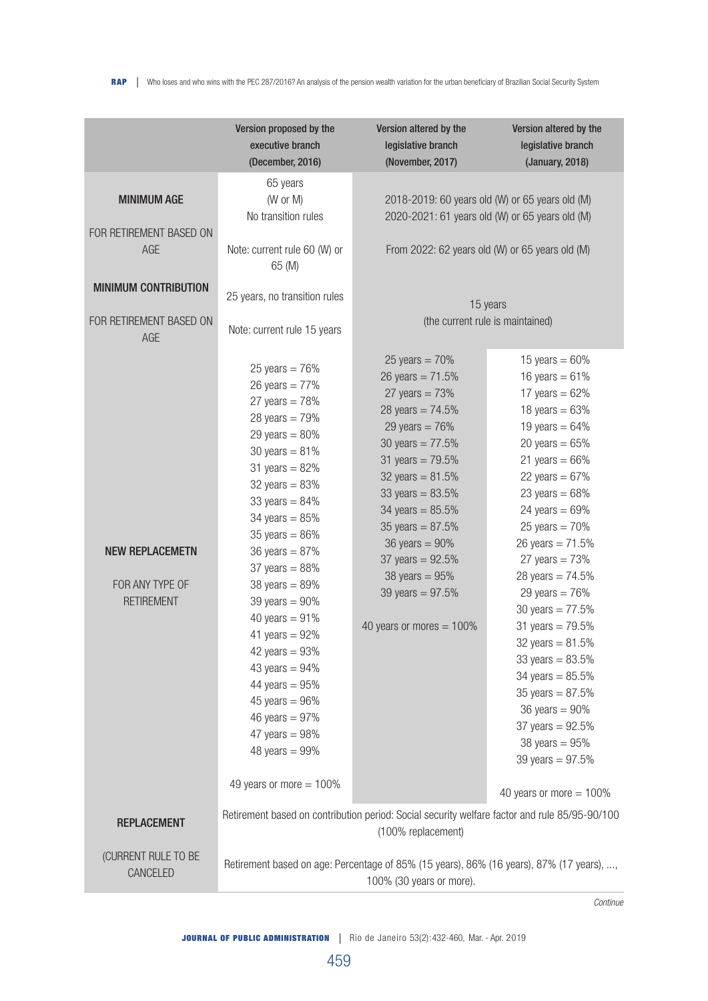|                                                                                                                       | Version proposed by the<br>executive branch<br>(December, 2016)                                                                                                                                                                                                                                                                                                                                                                                                                                                                | Version altered by the<br>legislative branch<br>(November, 2017)                                                                                                                                                                                                                                                                                             | Version altered by the<br>legislative branch<br>(January, 2018)                                                                                                                                                                                                                                                                                                                                                                                                                                                                                                        |  |
|-----------------------------------------------------------------------------------------------------------------------|--------------------------------------------------------------------------------------------------------------------------------------------------------------------------------------------------------------------------------------------------------------------------------------------------------------------------------------------------------------------------------------------------------------------------------------------------------------------------------------------------------------------------------|--------------------------------------------------------------------------------------------------------------------------------------------------------------------------------------------------------------------------------------------------------------------------------------------------------------------------------------------------------------|------------------------------------------------------------------------------------------------------------------------------------------------------------------------------------------------------------------------------------------------------------------------------------------------------------------------------------------------------------------------------------------------------------------------------------------------------------------------------------------------------------------------------------------------------------------------|--|
| <b>MINIMUM AGE</b><br>FOR RETIREMENT BASED ON<br>AGE<br><b>MINIMUM CONTRIBUTION</b><br>FOR RETIREMENT BASED ON<br>AGE | 65 years<br>(W or M)<br>No transition rules<br>Note: current rule 60 (W) or<br>65 (M)<br>25 years, no transition rules<br>Note: current rule 15 years                                                                                                                                                                                                                                                                                                                                                                          |                                                                                                                                                                                                                                                                                                                                                              | 2018-2019: 60 years old (W) or 65 years old (M)<br>2020-2021: 61 years old (W) or 65 years old (M)<br>From 2022: 62 years old (W) or 65 years old (M)<br>15 years<br>(the current rule is maintained)                                                                                                                                                                                                                                                                                                                                                                  |  |
| <b>NEW REPLACEMETN</b><br>FOR ANY TYPE OF<br><b>RETIREMENT</b>                                                        | 25 years = $76%$<br>26 years = $77%$<br>27 years = $78%$<br>28 years = $79%$<br>29 years = $80%$<br>30 years = $81%$<br>31 years = $82%$<br>32 years $= 83%$<br>33 years = $84%$<br>34 years = $85%$<br>35 years = $86%$<br>36 years = $87%$<br>37 years $= 88%$<br>38 years $= 89%$<br>39 years $= 90\%$<br>40 years = $91%$<br>41 years = $92%$<br>42 years = $93%$<br>43 years = $94%$<br>44 years = $95%$<br>45 years $= 96\%$<br>46 years = $97%$<br>47 years = $98\%$<br>48 years $= 99\%$<br>49 years or more $= 100\%$ | 25 years = $70%$<br>26 years = $71.5%$<br>27 years = $73%$<br>28 years = $74.5%$<br>29 years = $76%$<br>30 years = $77.5%$<br>31 years = $79.5%$<br>32 years = $81.5%$<br>33 years = $83.5%$<br>34 years = $85.5%$<br>35 years = $87.5%$<br>36 years = $90\%$<br>37 years = $92.5%$<br>38 years = $95%$<br>39 years = $97.5%$<br>40 years or mores $= 100\%$ | 15 years = $60%$<br>16 years = $61%$<br>17 years = $62%$<br>18 years = $63%$<br>19 years = $64%$<br>20 years = $65%$<br>21 years = $66%$<br>22 years = $67%$<br>23 years = $68\%$<br>24 years = $69%$<br>$25$ years = $70%$<br>26 years = $71.5%$<br>27 years = $73%$<br>28 years = $74.5%$<br>29 years = $76%$<br>30 years = $77.5%$<br>31 years = $79.5%$<br>32 years = $81.5%$<br>33 years = $83.5%$<br>34 years = $85.5%$<br>35 years = $87.5%$<br>36 years $= 90\%$<br>37 years = $92.5%$<br>38 years = $95%$<br>39 years = $97.5%$<br>40 years or more $= 100\%$ |  |
| <b>REPLACEMENT</b>                                                                                                    |                                                                                                                                                                                                                                                                                                                                                                                                                                                                                                                                | Retirement based on contribution period: Social security welfare factor and rule 85/95-90/100<br>(100% replacement)                                                                                                                                                                                                                                          |                                                                                                                                                                                                                                                                                                                                                                                                                                                                                                                                                                        |  |
| (CURRENT RULE TO BE<br>CANCELED                                                                                       | Retirement based on age: Percentage of 85% (15 years), 86% (16 years), 87% (17 years), ,<br>100% (30 years or more).                                                                                                                                                                                                                                                                                                                                                                                                           |                                                                                                                                                                                                                                                                                                                                                              |                                                                                                                                                                                                                                                                                                                                                                                                                                                                                                                                                                        |  |

*Continue*